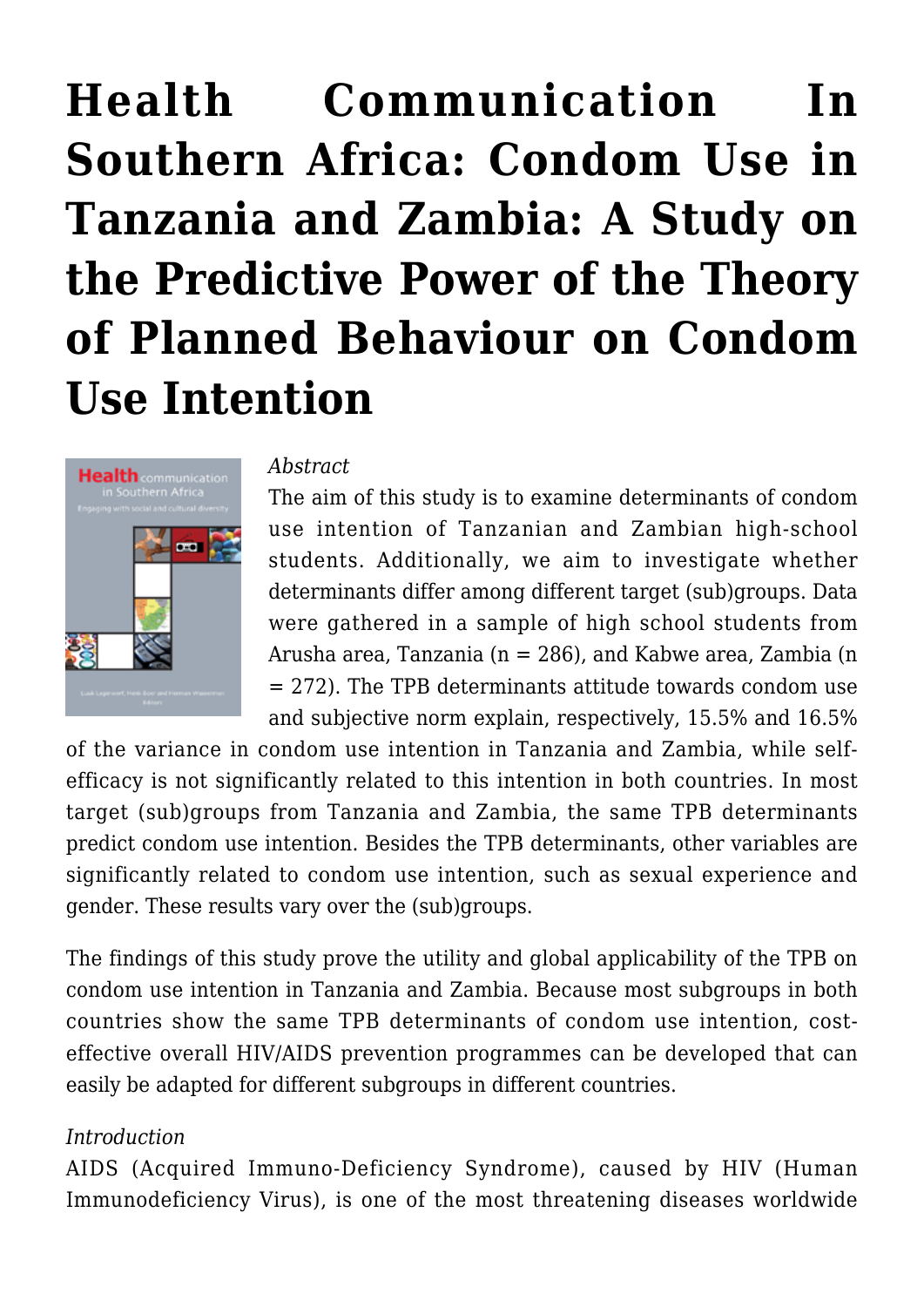# **[Health Communication In](https://rozenbergquarterly.com/health-communication-in-southern-africa-engaging-with-social-and-cultural-diversity-condom-use-in-tanzania-and-zambia-a-study-on-the-predictive-power-of-the-theory-of-planned-behaviour-on-condom/) [Southern Africa: Condom Use in](https://rozenbergquarterly.com/health-communication-in-southern-africa-engaging-with-social-and-cultural-diversity-condom-use-in-tanzania-and-zambia-a-study-on-the-predictive-power-of-the-theory-of-planned-behaviour-on-condom/) [Tanzania and Zambia: A Study on](https://rozenbergquarterly.com/health-communication-in-southern-africa-engaging-with-social-and-cultural-diversity-condom-use-in-tanzania-and-zambia-a-study-on-the-predictive-power-of-the-theory-of-planned-behaviour-on-condom/) [the Predictive Power of the Theory](https://rozenbergquarterly.com/health-communication-in-southern-africa-engaging-with-social-and-cultural-diversity-condom-use-in-tanzania-and-zambia-a-study-on-the-predictive-power-of-the-theory-of-planned-behaviour-on-condom/) [of Planned Behaviour on Condom](https://rozenbergquarterly.com/health-communication-in-southern-africa-engaging-with-social-and-cultural-diversity-condom-use-in-tanzania-and-zambia-a-study-on-the-predictive-power-of-the-theory-of-planned-behaviour-on-condom/) [Use Intention](https://rozenbergquarterly.com/health-communication-in-southern-africa-engaging-with-social-and-cultural-diversity-condom-use-in-tanzania-and-zambia-a-study-on-the-predictive-power-of-the-theory-of-planned-behaviour-on-condom/)**



#### *Abstract*

The aim of this study is to examine determinants of condom use intention of Tanzanian and Zambian high-school students. Additionally, we aim to investigate whether determinants differ among different target (sub)groups. Data were gathered in a sample of high school students from Arusha area, Tanzania (n = 286), and Kabwe area, Zambia (n = 272). The TPB determinants attitude towards condom use and subjective norm explain, respectively, 15.5% and 16.5%

of the variance in condom use intention in Tanzania and Zambia, while selfefficacy is not significantly related to this intention in both countries. In most target (sub)groups from Tanzania and Zambia, the same TPB determinants predict condom use intention. Besides the TPB determinants, other variables are significantly related to condom use intention, such as sexual experience and gender. These results vary over the (sub)groups.

The findings of this study prove the utility and global applicability of the TPB on condom use intention in Tanzania and Zambia. Because most subgroups in both countries show the same TPB determinants of condom use intention, costeffective overall HIV/AIDS prevention programmes can be developed that can easily be adapted for different subgroups in different countries.

# *Introduction*

AIDS (Acquired Immuno-Deficiency Syndrome), caused by HIV (Human Immunodeficiency Virus), is one of the most threatening diseases worldwide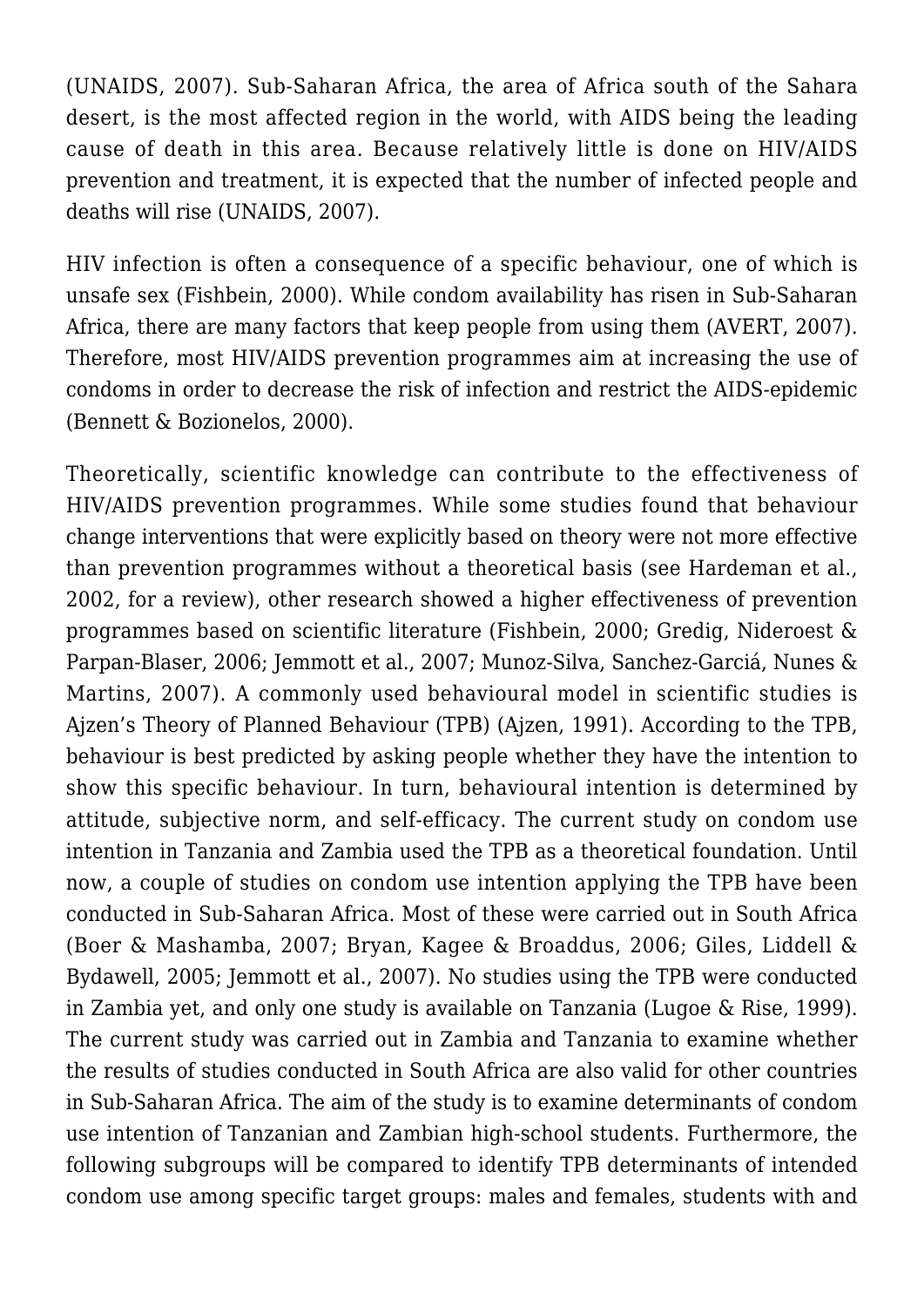(UNAIDS, 2007). Sub-Saharan Africa, the area of Africa south of the Sahara desert, is the most affected region in the world, with AIDS being the leading cause of death in this area. Because relatively little is done on HIV/AIDS prevention and treatment, it is expected that the number of infected people and deaths will rise (UNAIDS, 2007).

HIV infection is often a consequence of a specific behaviour, one of which is unsafe sex (Fishbein, 2000). While condom availability has risen in Sub-Saharan Africa, there are many factors that keep people from using them (AVERT, 2007). Therefore, most HIV/AIDS prevention programmes aim at increasing the use of condoms in order to decrease the risk of infection and restrict the AIDS-epidemic (Bennett & Bozionelos, 2000).

Theoretically, scientific knowledge can contribute to the effectiveness of HIV/AIDS prevention programmes. While some studies found that behaviour change interventions that were explicitly based on theory were not more effective than prevention programmes without a theoretical basis (see Hardeman et al., 2002, for a review), other research showed a higher effectiveness of prevention programmes based on scientific literature (Fishbein, 2000; Gredig, Nideroest & Parpan-Blaser, 2006; Jemmott et al., 2007; Munoz-Silva, Sanchez-Garciá, Nunes & Martins, 2007). A commonly used behavioural model in scientific studies is Ajzen's Theory of Planned Behaviour (TPB) (Ajzen, 1991). According to the TPB, behaviour is best predicted by asking people whether they have the intention to show this specific behaviour. In turn, behavioural intention is determined by attitude, subjective norm, and self-efficacy. The current study on condom use intention in Tanzania and Zambia used the TPB as a theoretical foundation. Until now, a couple of studies on condom use intention applying the TPB have been conducted in Sub-Saharan Africa. Most of these were carried out in South Africa (Boer & Mashamba, 2007; Bryan, Kagee & Broaddus, 2006; Giles, Liddell & Bydawell, 2005; Jemmott et al., 2007). No studies using the TPB were conducted in Zambia yet, and only one study is available on Tanzania (Lugoe & Rise, 1999). The current study was carried out in Zambia and Tanzania to examine whether the results of studies conducted in South Africa are also valid for other countries in Sub-Saharan Africa. The aim of the study is to examine determinants of condom use intention of Tanzanian and Zambian high-school students. Furthermore, the following subgroups will be compared to identify TPB determinants of intended condom use among specific target groups: males and females, students with and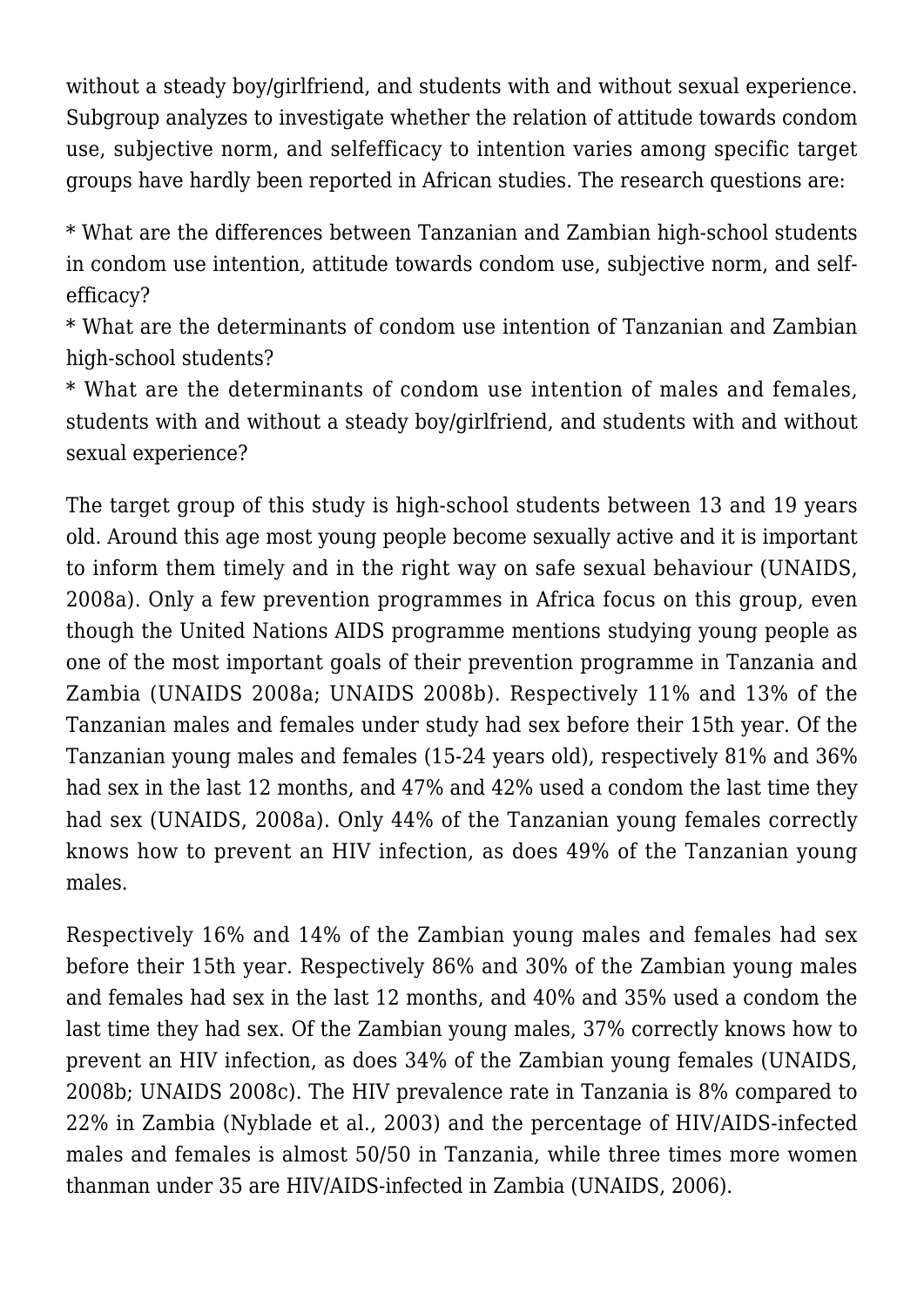without a steady boy/girlfriend, and students with and without sexual experience. Subgroup analyzes to investigate whether the relation of attitude towards condom use, subjective norm, and selfefficacy to intention varies among specific target groups have hardly been reported in African studies. The research questions are:

\* What are the differences between Tanzanian and Zambian high-school students in condom use intention, attitude towards condom use, subjective norm, and selfefficacy?

\* What are the determinants of condom use intention of Tanzanian and Zambian high-school students?

\* What are the determinants of condom use intention of males and females, students with and without a steady boy/girlfriend, and students with and without sexual experience?

The target group of this study is high-school students between 13 and 19 years old. Around this age most young people become sexually active and it is important to inform them timely and in the right way on safe sexual behaviour (UNAIDS, 2008a). Only a few prevention programmes in Africa focus on this group, even though the United Nations AIDS programme mentions studying young people as one of the most important goals of their prevention programme in Tanzania and Zambia (UNAIDS 2008a; UNAIDS 2008b). Respectively 11% and 13% of the Tanzanian males and females under study had sex before their 15th year. Of the Tanzanian young males and females (15-24 years old), respectively 81% and 36% had sex in the last 12 months, and 47% and 42% used a condom the last time they had sex (UNAIDS, 2008a). Only 44% of the Tanzanian young females correctly knows how to prevent an HIV infection, as does 49% of the Tanzanian young males.

Respectively 16% and 14% of the Zambian young males and females had sex before their 15th year. Respectively 86% and 30% of the Zambian young males and females had sex in the last 12 months, and 40% and 35% used a condom the last time they had sex. Of the Zambian young males, 37% correctly knows how to prevent an HIV infection, as does 34% of the Zambian young females (UNAIDS, 2008b; UNAIDS 2008c). The HIV prevalence rate in Tanzania is 8% compared to 22% in Zambia (Nyblade et al., 2003) and the percentage of HIV/AIDS-infected males and females is almost 50/50 in Tanzania, while three times more women thanman under 35 are HIV/AIDS-infected in Zambia (UNAIDS, 2006).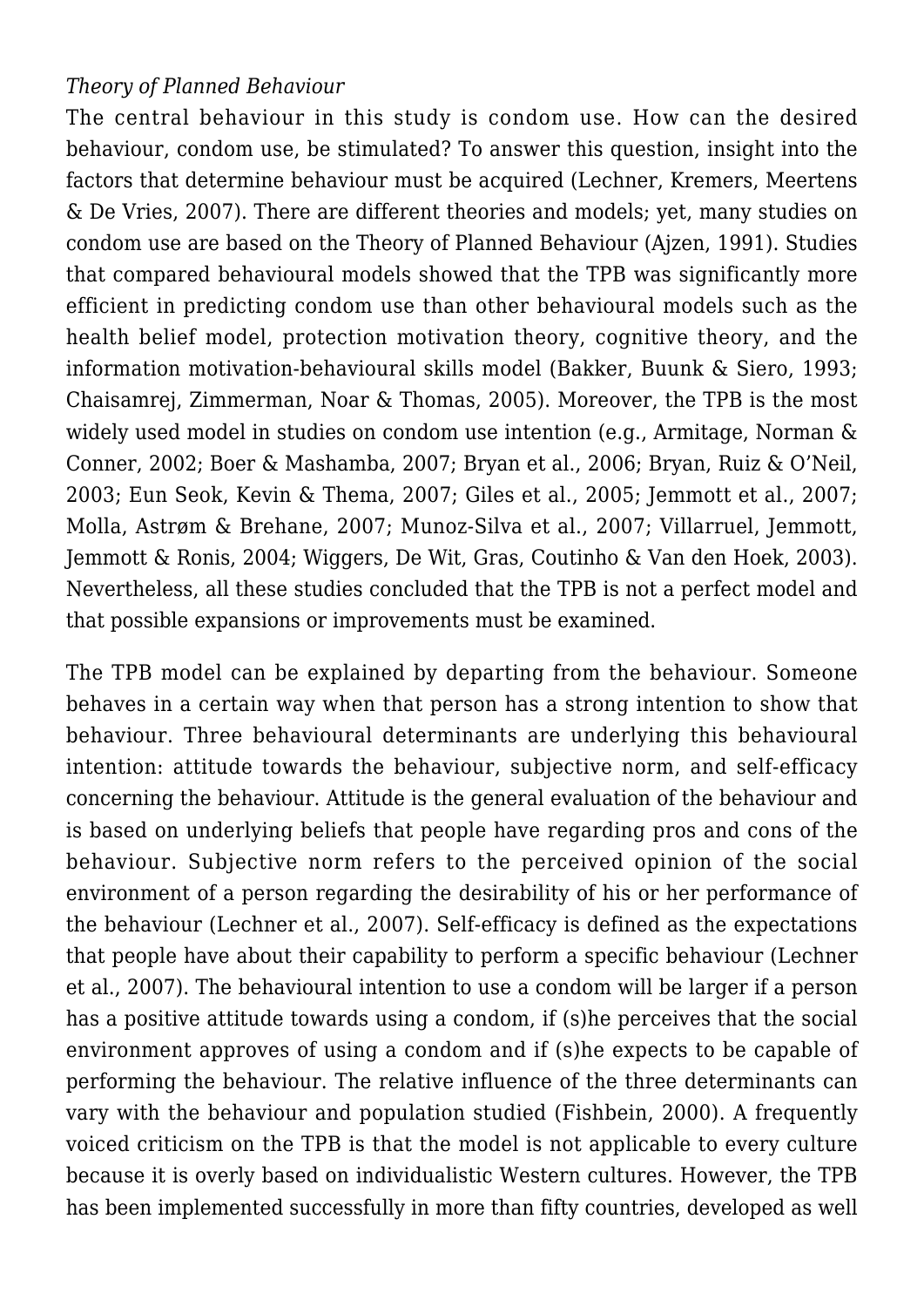# *Theory of Planned Behaviour*

The central behaviour in this study is condom use. How can the desired behaviour, condom use, be stimulated? To answer this question, insight into the factors that determine behaviour must be acquired (Lechner, Kremers, Meertens & De Vries, 2007). There are different theories and models; yet, many studies on condom use are based on the Theory of Planned Behaviour (Ajzen, 1991). Studies that compared behavioural models showed that the TPB was significantly more efficient in predicting condom use than other behavioural models such as the health belief model, protection motivation theory, cognitive theory, and the information motivation-behavioural skills model (Bakker, Buunk & Siero, 1993; Chaisamrej, Zimmerman, Noar & Thomas, 2005). Moreover, the TPB is the most widely used model in studies on condom use intention (e.g., Armitage, Norman & Conner, 2002; Boer & Mashamba, 2007; Bryan et al., 2006; Bryan, Ruiz & O'Neil, 2003; Eun Seok, Kevin & Thema, 2007; Giles et al., 2005; Jemmott et al., 2007; Molla, Astrøm & Brehane, 2007; Munoz-Silva et al., 2007; Villarruel, Jemmott, Jemmott & Ronis, 2004; Wiggers, De Wit, Gras, Coutinho & Van den Hoek, 2003). Nevertheless, all these studies concluded that the TPB is not a perfect model and that possible expansions or improvements must be examined.

The TPB model can be explained by departing from the behaviour. Someone behaves in a certain way when that person has a strong intention to show that behaviour. Three behavioural determinants are underlying this behavioural intention: attitude towards the behaviour, subjective norm, and self-efficacy concerning the behaviour. Attitude is the general evaluation of the behaviour and is based on underlying beliefs that people have regarding pros and cons of the behaviour. Subjective norm refers to the perceived opinion of the social environment of a person regarding the desirability of his or her performance of the behaviour (Lechner et al., 2007). Self-efficacy is defined as the expectations that people have about their capability to perform a specific behaviour (Lechner et al., 2007). The behavioural intention to use a condom will be larger if a person has a positive attitude towards using a condom, if (s)he perceives that the social environment approves of using a condom and if (s)he expects to be capable of performing the behaviour. The relative influence of the three determinants can vary with the behaviour and population studied (Fishbein, 2000). A frequently voiced criticism on the TPB is that the model is not applicable to every culture because it is overly based on individualistic Western cultures. However, the TPB has been implemented successfully in more than fifty countries, developed as well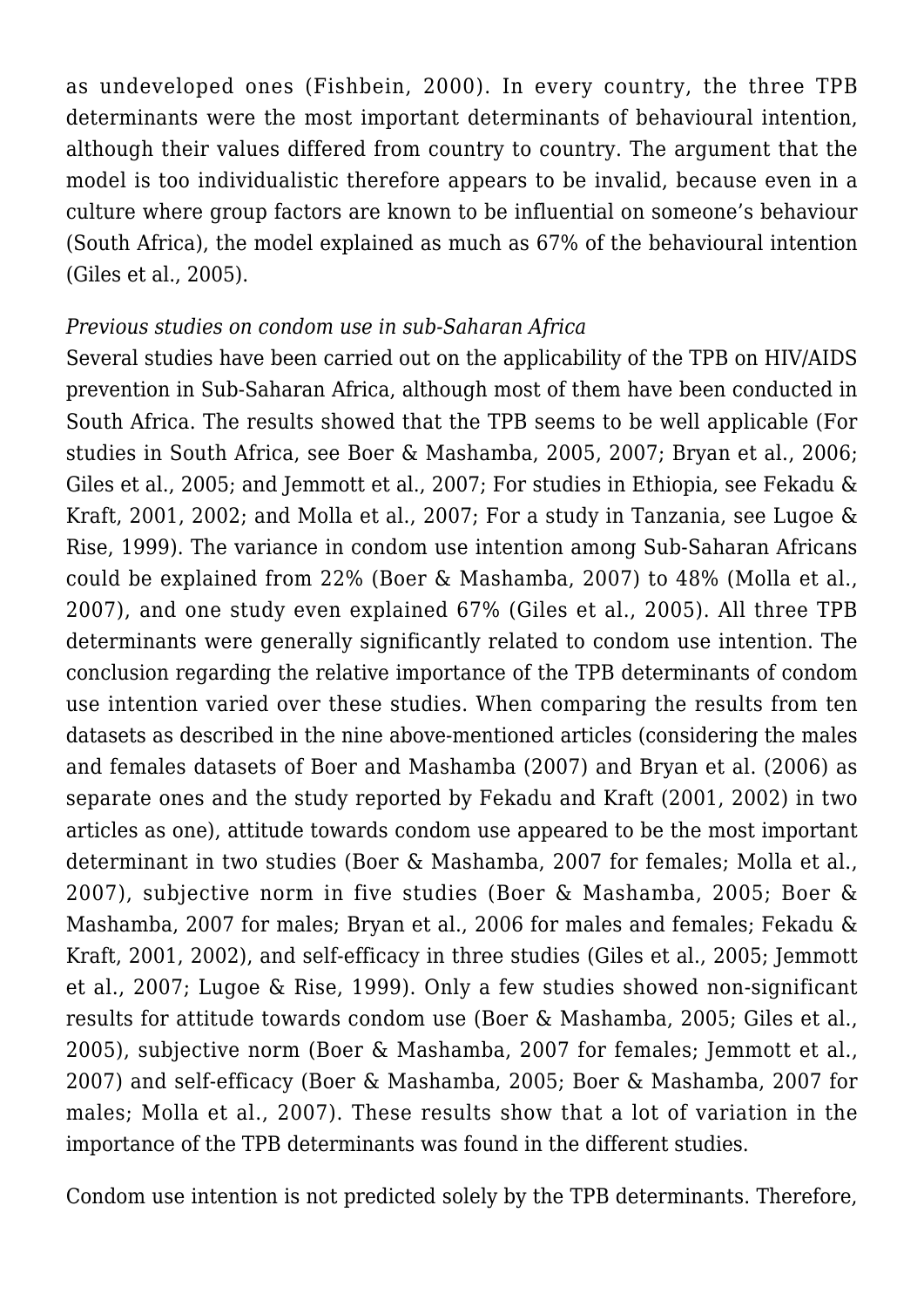as undeveloped ones (Fishbein, 2000). In every country, the three TPB determinants were the most important determinants of behavioural intention, although their values differed from country to country. The argument that the model is too individualistic therefore appears to be invalid, because even in a culture where group factors are known to be influential on someone's behaviour (South Africa), the model explained as much as 67% of the behavioural intention (Giles et al., 2005).

### *Previous studies on condom use in sub-Saharan Africa*

Several studies have been carried out on the applicability of the TPB on HIV/AIDS prevention in Sub-Saharan Africa, although most of them have been conducted in South Africa. The results showed that the TPB seems to be well applicable (For studies in South Africa, see Boer & Mashamba, 2005, 2007; Bryan et al., 2006; Giles et al., 2005; and Jemmott et al., 2007; For studies in Ethiopia, see Fekadu & Kraft, 2001, 2002; and Molla et al., 2007; For a study in Tanzania, see Lugoe & Rise, 1999). The variance in condom use intention among Sub-Saharan Africans could be explained from 22% (Boer & Mashamba, 2007) to 48% (Molla et al., 2007), and one study even explained 67% (Giles et al., 2005). All three TPB determinants were generally significantly related to condom use intention. The conclusion regarding the relative importance of the TPB determinants of condom use intention varied over these studies. When comparing the results from ten datasets as described in the nine above-mentioned articles (considering the males and females datasets of Boer and Mashamba (2007) and Bryan et al. (2006) as separate ones and the study reported by Fekadu and Kraft (2001, 2002) in two articles as one), attitude towards condom use appeared to be the most important determinant in two studies (Boer & Mashamba, 2007 for females; Molla et al., 2007), subjective norm in five studies (Boer & Mashamba, 2005; Boer & Mashamba, 2007 for males; Bryan et al., 2006 for males and females; Fekadu & Kraft, 2001, 2002), and self-efficacy in three studies (Giles et al., 2005; Jemmott et al., 2007; Lugoe & Rise, 1999). Only a few studies showed non-significant results for attitude towards condom use (Boer & Mashamba, 2005; Giles et al., 2005), subjective norm (Boer & Mashamba, 2007 for females; Jemmott et al., 2007) and self-efficacy (Boer & Mashamba, 2005; Boer & Mashamba, 2007 for males; Molla et al., 2007). These results show that a lot of variation in the importance of the TPB determinants was found in the different studies.

Condom use intention is not predicted solely by the TPB determinants. Therefore,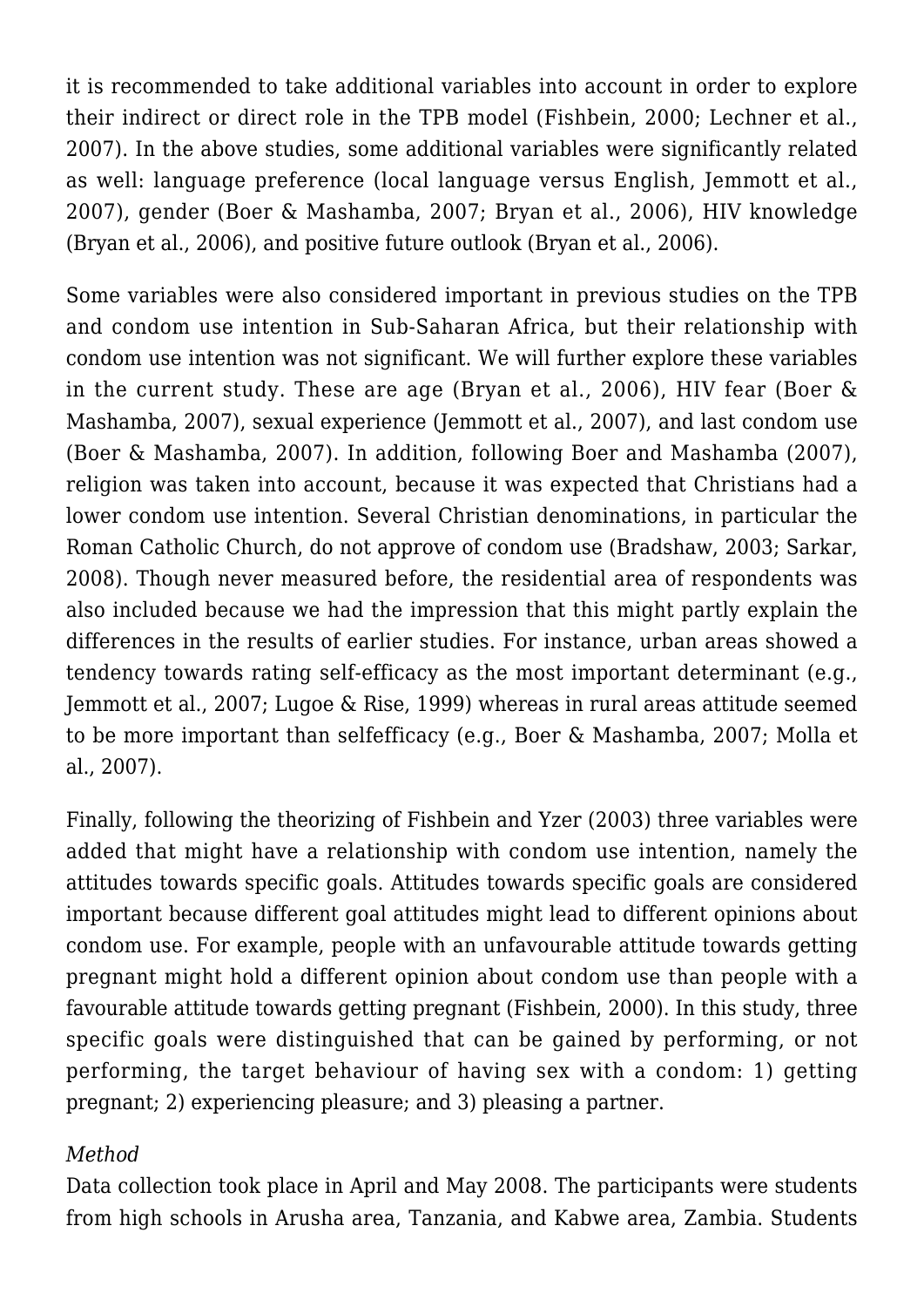it is recommended to take additional variables into account in order to explore their indirect or direct role in the TPB model (Fishbein, 2000; Lechner et al., 2007). In the above studies, some additional variables were significantly related as well: language preference (local language versus English, Jemmott et al., 2007), gender (Boer & Mashamba, 2007; Bryan et al., 2006), HIV knowledge (Bryan et al., 2006), and positive future outlook (Bryan et al., 2006).

Some variables were also considered important in previous studies on the TPB and condom use intention in Sub-Saharan Africa, but their relationship with condom use intention was not significant. We will further explore these variables in the current study. These are age (Bryan et al., 2006), HIV fear (Boer & Mashamba, 2007), sexual experience (Jemmott et al., 2007), and last condom use (Boer & Mashamba, 2007). In addition, following Boer and Mashamba (2007), religion was taken into account, because it was expected that Christians had a lower condom use intention. Several Christian denominations, in particular the Roman Catholic Church, do not approve of condom use (Bradshaw, 2003; Sarkar, 2008). Though never measured before, the residential area of respondents was also included because we had the impression that this might partly explain the differences in the results of earlier studies. For instance, urban areas showed a tendency towards rating self-efficacy as the most important determinant (e.g., Jemmott et al., 2007; Lugoe & Rise, 1999) whereas in rural areas attitude seemed to be more important than selfefficacy (e.g., Boer & Mashamba, 2007; Molla et al., 2007).

Finally, following the theorizing of Fishbein and Yzer (2003) three variables were added that might have a relationship with condom use intention, namely the attitudes towards specific goals. Attitudes towards specific goals are considered important because different goal attitudes might lead to different opinions about condom use. For example, people with an unfavourable attitude towards getting pregnant might hold a different opinion about condom use than people with a favourable attitude towards getting pregnant (Fishbein, 2000). In this study, three specific goals were distinguished that can be gained by performing, or not performing, the target behaviour of having sex with a condom: 1) getting pregnant; 2) experiencing pleasure; and 3) pleasing a partner.

## *Method*

Data collection took place in April and May 2008. The participants were students from high schools in Arusha area, Tanzania, and Kabwe area, Zambia. Students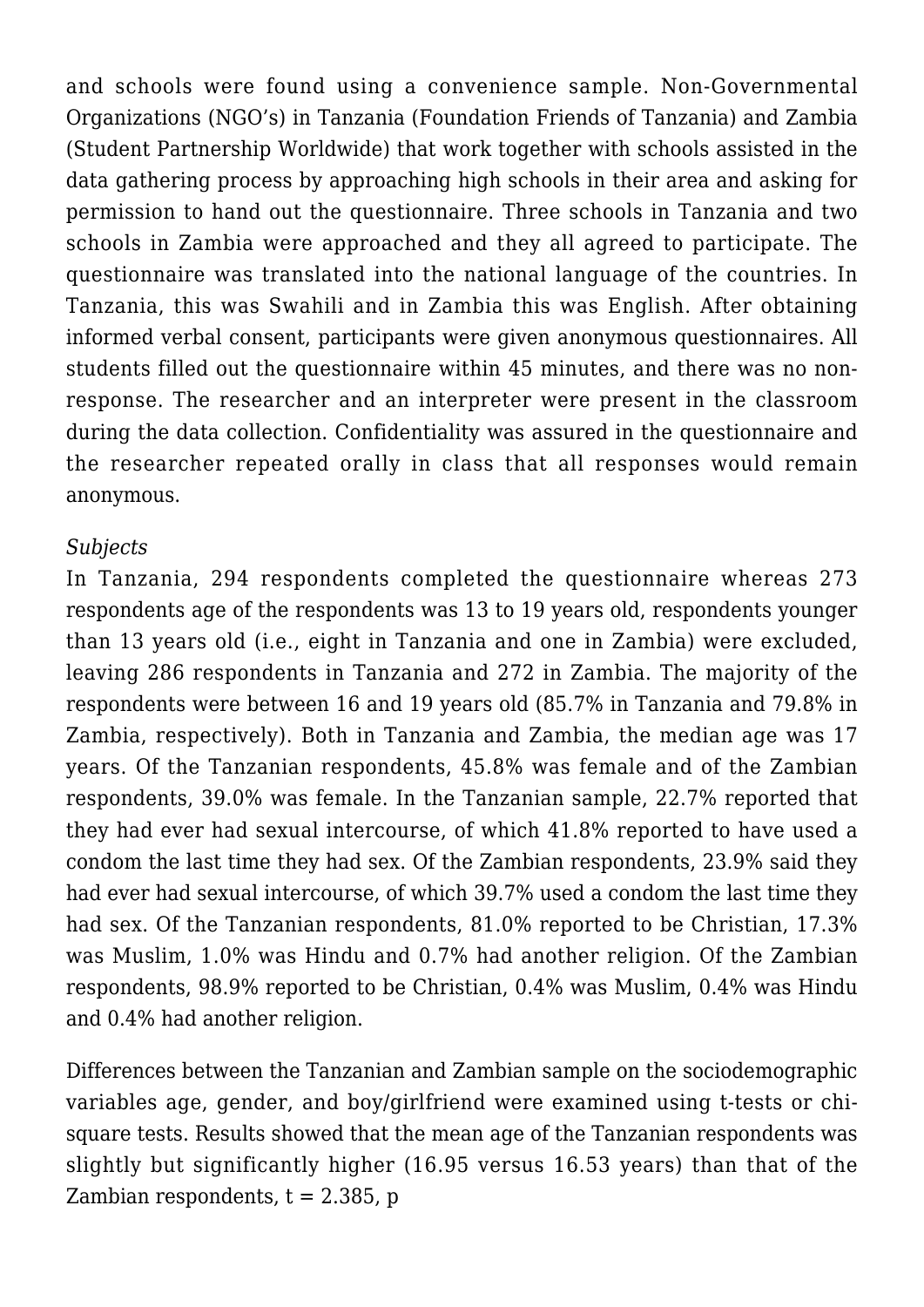and schools were found using a convenience sample. Non-Governmental Organizations (NGO's) in Tanzania (Foundation Friends of Tanzania) and Zambia (Student Partnership Worldwide) that work together with schools assisted in the data gathering process by approaching high schools in their area and asking for permission to hand out the questionnaire. Three schools in Tanzania and two schools in Zambia were approached and they all agreed to participate. The questionnaire was translated into the national language of the countries. In Tanzania, this was Swahili and in Zambia this was English. After obtaining informed verbal consent, participants were given anonymous questionnaires. All students filled out the questionnaire within 45 minutes, and there was no nonresponse. The researcher and an interpreter were present in the classroom during the data collection. Confidentiality was assured in the questionnaire and the researcher repeated orally in class that all responses would remain anonymous.

## *Subjects*

In Tanzania, 294 respondents completed the questionnaire whereas 273 respondents age of the respondents was 13 to 19 years old, respondents younger than 13 years old (i.e., eight in Tanzania and one in Zambia) were excluded, leaving 286 respondents in Tanzania and 272 in Zambia. The majority of the respondents were between 16 and 19 years old (85.7% in Tanzania and 79.8% in Zambia, respectively). Both in Tanzania and Zambia, the median age was 17 years. Of the Tanzanian respondents, 45.8% was female and of the Zambian respondents, 39.0% was female. In the Tanzanian sample, 22.7% reported that they had ever had sexual intercourse, of which 41.8% reported to have used a condom the last time they had sex. Of the Zambian respondents, 23.9% said they had ever had sexual intercourse, of which 39.7% used a condom the last time they had sex. Of the Tanzanian respondents, 81.0% reported to be Christian, 17.3% was Muslim, 1.0% was Hindu and 0.7% had another religion. Of the Zambian respondents, 98.9% reported to be Christian, 0.4% was Muslim, 0.4% was Hindu and 0.4% had another religion.

Differences between the Tanzanian and Zambian sample on the sociodemographic variables age, gender, and boy/girlfriend were examined using t-tests or chisquare tests. Results showed that the mean age of the Tanzanian respondents was slightly but significantly higher (16.95 versus 16.53 years) than that of the Zambian respondents,  $t = 2.385$ , p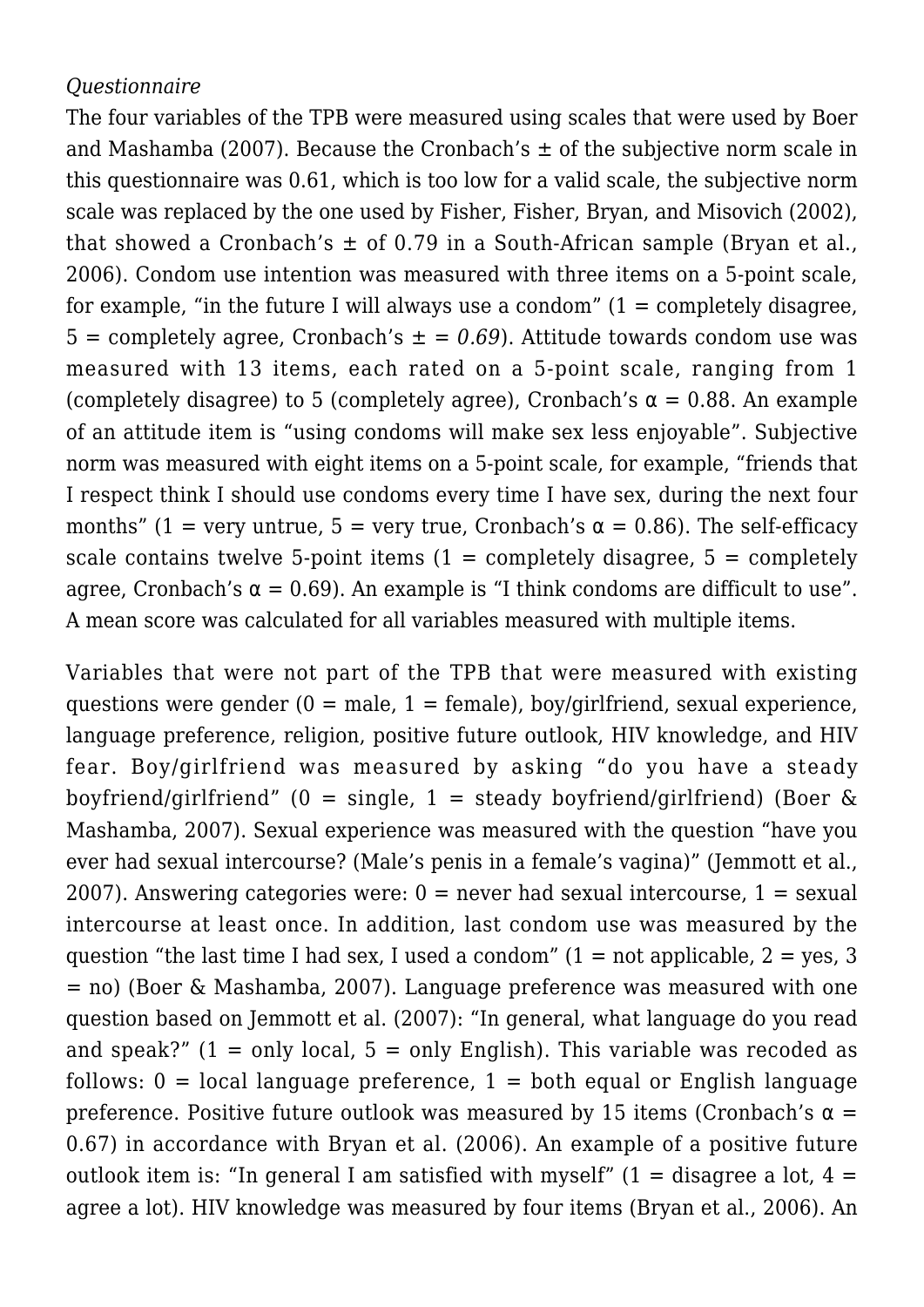# *Questionnaire*

The four variables of the TPB were measured using scales that were used by Boer and Mashamba (2007). Because the Cronbach's  $\pm$  of the subjective norm scale in this questionnaire was 0.61, which is too low for a valid scale, the subjective norm scale was replaced by the one used by Fisher, Fisher, Bryan, and Misovich (2002), that showed a Cronbach's  $\pm$  of 0.79 in a South-African sample (Bryan et al., 2006). Condom use intention was measured with three items on a 5-point scale, for example, "in the future I will always use a condom"  $(1 = \text{completely disagree})$ . 5 = completely agree, Cronbach's  $\pm$  = 0.69). Attitude towards condom use was measured with 13 items, each rated on a 5-point scale, ranging from 1 (completely disagree) to 5 (completely agree), Cronbach's  $\alpha = 0.88$ . An example of an attitude item is "using condoms will make sex less enjoyable". Subjective norm was measured with eight items on a 5-point scale, for example, "friends that I respect think I should use condoms every time I have sex, during the next four months" (1 = very untrue, 5 = very true, Cronbach's  $\alpha$  = 0.86). The self-efficacy scale contains twelve 5-point items  $(1 = \text{completely disagree}, 5 = \text{completely}})$ agree, Cronbach's  $\alpha = 0.69$ ). An example is "I think condoms are difficult to use". A mean score was calculated for all variables measured with multiple items.

Variables that were not part of the TPB that were measured with existing questions were gender  $(0 = male, 1 = female)$ , boy/girlfriend, sexual experience, language preference, religion, positive future outlook, HIV knowledge, and HIV fear. Boy/girlfriend was measured by asking "do you have a steady boyfriend/girlfriend" (0 = single, 1 = steady boyfriend/girlfriend) (Boer  $\&$ Mashamba, 2007). Sexual experience was measured with the question "have you ever had sexual intercourse? (Male's penis in a female's vagina)" (Jemmott et al., 2007). Answering categories were:  $0 =$  never had sexual intercourse,  $1 =$  sexual intercourse at least once. In addition, last condom use was measured by the question "the last time I had sex, I used a condom"  $(1 = not applicable, 2 = yes, 3$ = no) (Boer & Mashamba, 2007). Language preference was measured with one question based on Jemmott et al. (2007): "In general, what language do you read and speak?"  $(1 = only local, 5 = only English)$ . This variable was recoded as follows:  $0 =$  local language preference,  $1 =$  both equal or English language preference. Positive future outlook was measured by 15 items (Cronbach's  $\alpha$  = 0.67) in accordance with Bryan et al. (2006). An example of a positive future outlook item is: "In general I am satisfied with myself"  $(1 = distance$  a lot,  $4 =$ agree a lot). HIV knowledge was measured by four items (Bryan et al., 2006). An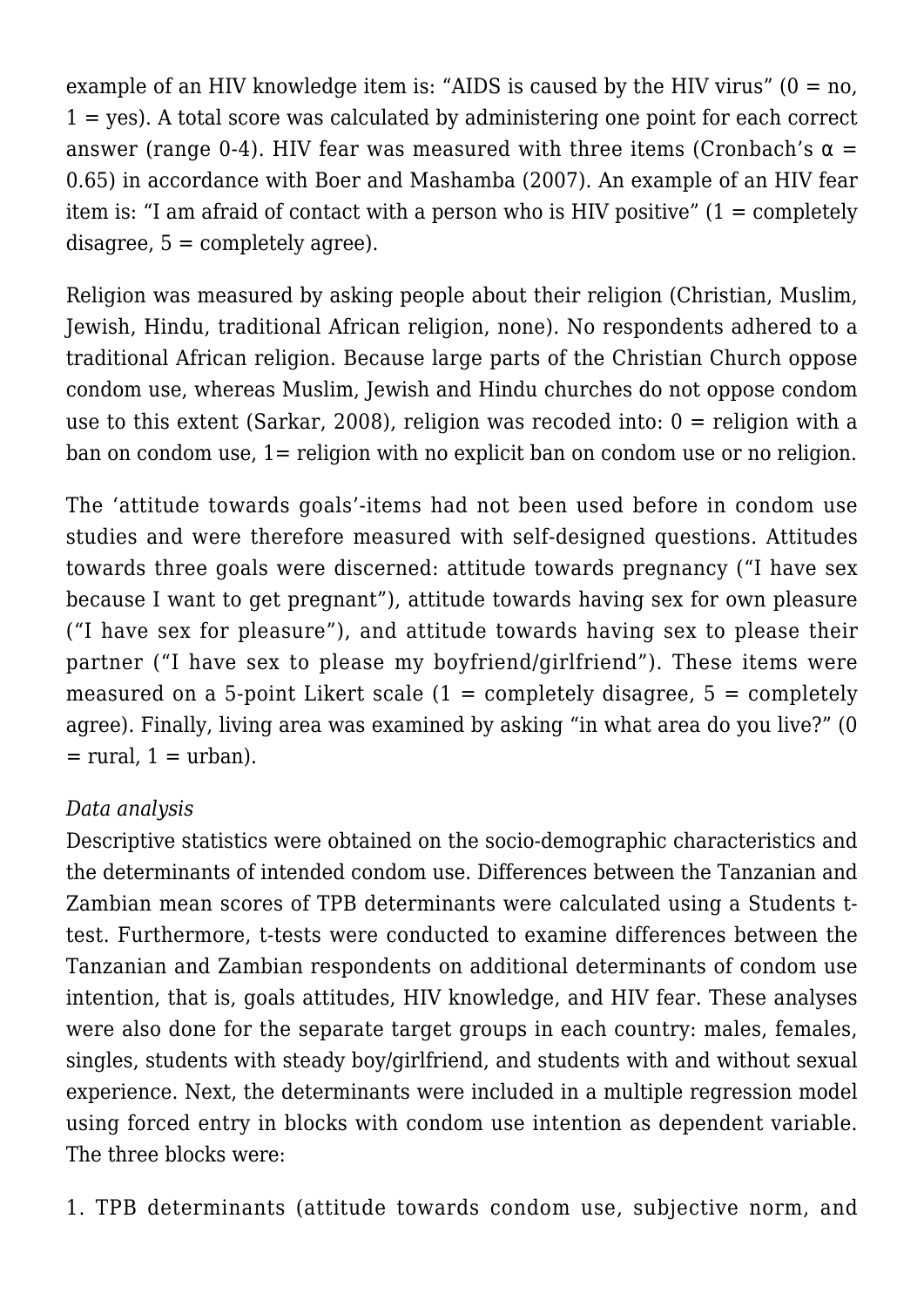example of an HIV knowledge item is: "AIDS is caused by the HIV virus"  $(0 = no,$  $1 = ves$ ). A total score was calculated by administering one point for each correct answer (range 0-4). HIV fear was measured with three items (Cronbach's  $\alpha$  = 0.65) in accordance with Boer and Mashamba (2007). An example of an HIV fear item is: "I am afraid of contact with a person who is HIV positive" (1 = completely  $disagree, 5 = completely agree.$ 

Religion was measured by asking people about their religion (Christian, Muslim, Jewish, Hindu, traditional African religion, none). No respondents adhered to a traditional African religion. Because large parts of the Christian Church oppose condom use, whereas Muslim, Jewish and Hindu churches do not oppose condom use to this extent (Sarkar, 2008), religion was recoded into:  $0 =$  religion with a ban on condom use, 1= religion with no explicit ban on condom use or no religion.

The 'attitude towards goals'-items had not been used before in condom use studies and were therefore measured with self-designed questions. Attitudes towards three goals were discerned: attitude towards pregnancy ("I have sex because I want to get pregnant"), attitude towards having sex for own pleasure ("I have sex for pleasure"), and attitude towards having sex to please their partner ("I have sex to please my boyfriend/girlfriend"). These items were measured on a 5-point Likert scale  $(1 = \text{completely disagree}, 5 = \text{completely}})$ agree). Finally, living area was examined by asking "in what area do you live?" (0  $=$  rural,  $1 =$  urban).

# *Data analysis*

Descriptive statistics were obtained on the socio-demographic characteristics and the determinants of intended condom use. Differences between the Tanzanian and Zambian mean scores of TPB determinants were calculated using a Students ttest. Furthermore, t-tests were conducted to examine differences between the Tanzanian and Zambian respondents on additional determinants of condom use intention, that is, goals attitudes, HIV knowledge, and HIV fear. These analyses were also done for the separate target groups in each country: males, females, singles, students with steady boy/girlfriend, and students with and without sexual experience. Next, the determinants were included in a multiple regression model using forced entry in blocks with condom use intention as dependent variable. The three blocks were:

1. TPB determinants (attitude towards condom use, subjective norm, and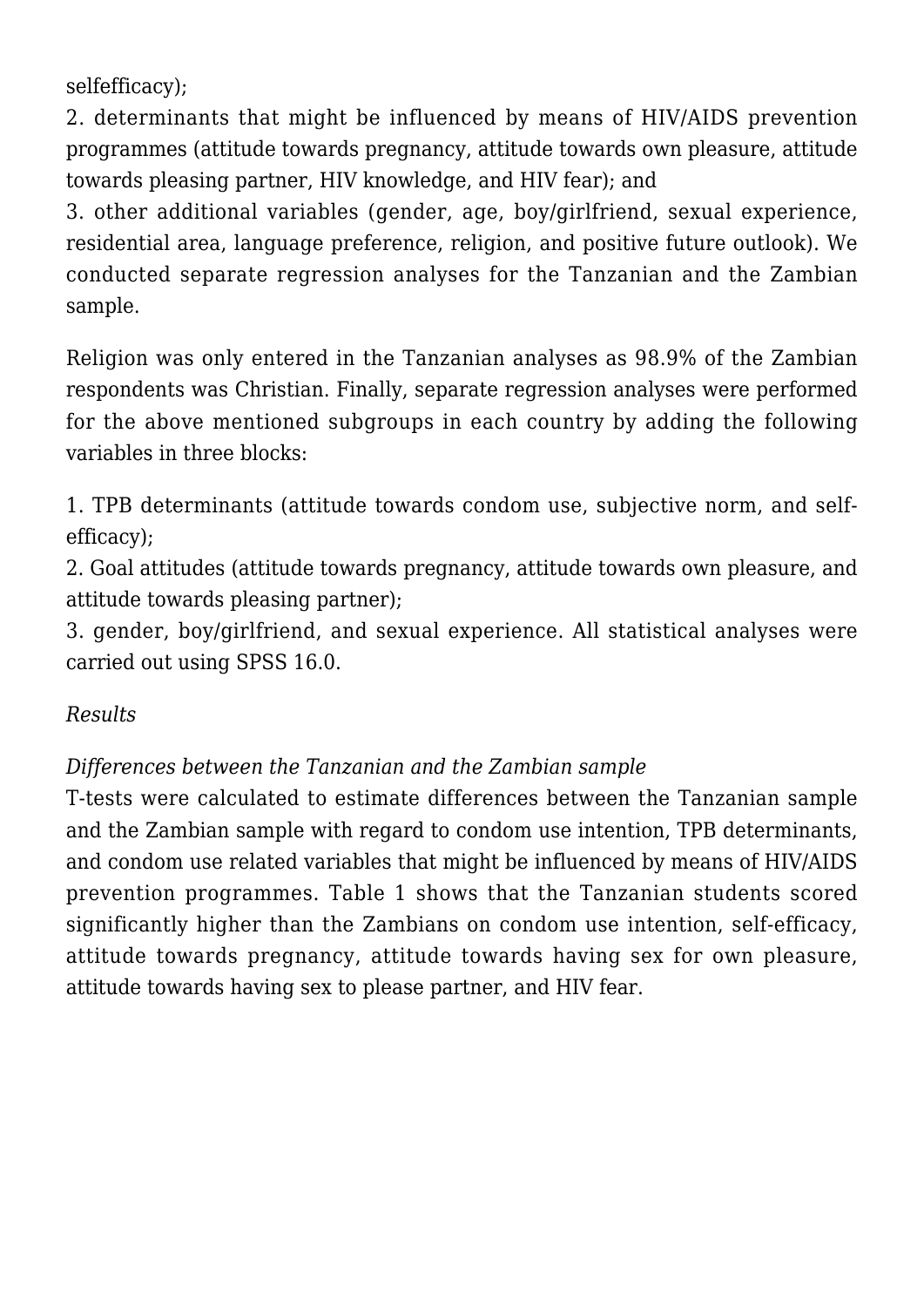selfefficacy);

2. determinants that might be influenced by means of HIV/AIDS prevention programmes (attitude towards pregnancy, attitude towards own pleasure, attitude towards pleasing partner, HIV knowledge, and HIV fear); and

3. other additional variables (gender, age, boy/girlfriend, sexual experience, residential area, language preference, religion, and positive future outlook). We conducted separate regression analyses for the Tanzanian and the Zambian sample.

Religion was only entered in the Tanzanian analyses as 98.9% of the Zambian respondents was Christian. Finally, separate regression analyses were performed for the above mentioned subgroups in each country by adding the following variables in three blocks:

1. TPB determinants (attitude towards condom use, subjective norm, and selfefficacy);

2. Goal attitudes (attitude towards pregnancy, attitude towards own pleasure, and attitude towards pleasing partner);

3. gender, boy/girlfriend, and sexual experience. All statistical analyses were carried out using SPSS 16.0.

# *Results*

# *Differences between the Tanzanian and the Zambian sample*

T-tests were calculated to estimate differences between the Tanzanian sample and the Zambian sample with regard to condom use intention, TPB determinants, and condom use related variables that might be influenced by means of HIV/AIDS prevention programmes. Table 1 shows that the Tanzanian students scored significantly higher than the Zambians on condom use intention, self-efficacy, attitude towards pregnancy, attitude towards having sex for own pleasure, attitude towards having sex to please partner, and HIV fear.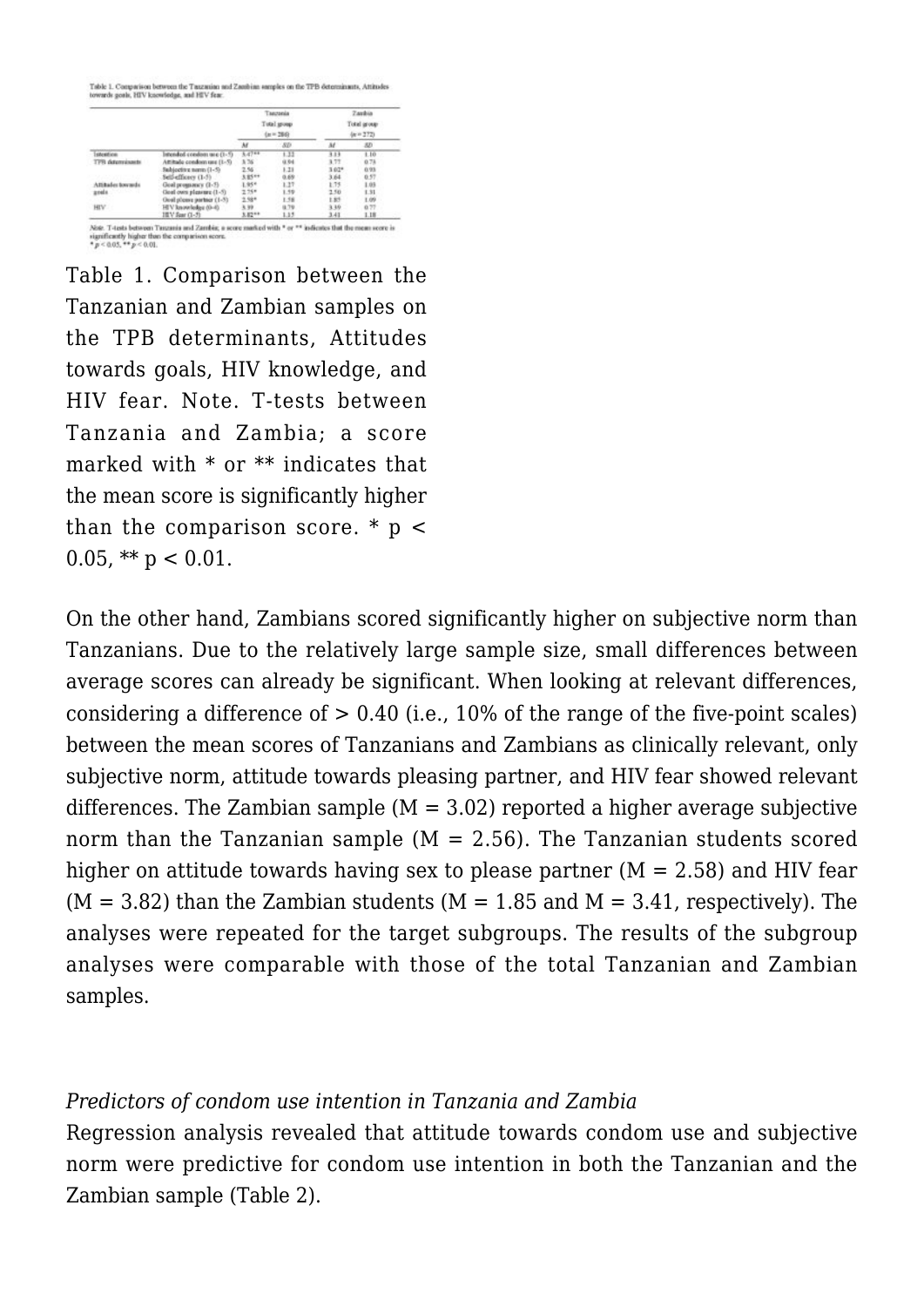.<br>Table 1. Comparison between the Tauzanian and Zambian samples on the TPB determinants, Attitudes<br>oweards goals, HIV knowledge, and HIV fear.

|                   |                             |         | Taectania<br>Total group<br>$(n = 284)$ |         |                                                                                                             |  |
|-------------------|-----------------------------|---------|-----------------------------------------|---------|-------------------------------------------------------------------------------------------------------------|--|
|                   |                             | Ar      | $-50$                                   | w       | 80                                                                                                          |  |
| sterifice         | istended condom use (1-5)   | 5.47 ** | 1.33                                    | 3.13    |                                                                                                             |  |
| TPR determinants  | Attitude condom use (1-5)   | 3.76    | <b>Q.94</b>                             | 3.77    |                                                                                                             |  |
|                   | Subjective namn (1-5)       | 2.56    | 1.21                                    | $3.02*$ |                                                                                                             |  |
|                   | Self-efficers (1-5)         | 3,85 ** | 0.69                                    | 3.64    |                                                                                                             |  |
| Attitudes towards | Goal programes (1-5)        | 1.95*   | 1.27                                    | 1.75    |                                                                                                             |  |
| goals.            | Goal own pleasure (1-5)     | $2.75*$ | 1.59                                    | 2.50    | 1.31                                                                                                        |  |
|                   | Ocal please partner (1-5)   | $2.58*$ | 1.58                                    | 1.85    |                                                                                                             |  |
| HIV.              | 3.99<br>HEV knowledge (0-4) |         | (8.79)                                  | 3.39    |                                                                                                             |  |
|                   | IIIV Spar (1-5)             | 3,82 ** | 1.13                                    | 3.41    | <b>Zankia</b><br>Total group<br>$(n = 272)$<br>1.10<br>0.78<br>0.93<br>0.57<br>1.03<br>1.09<br>0.77<br>1.18 |  |

Table 1. Comparison between the Tanzanian and Zambian samples on the TPB determinants, Attitudes towards goals, HIV knowledge, and HIV fear. Note. T-tests between Tanzania and Zambia; a score marked with \* or \*\* indicates that the mean score is significantly higher than the comparison score.  $*$  p < 0.05, \*\*  $p < 0.01$ .

On the other hand, Zambians scored significantly higher on subjective norm than Tanzanians. Due to the relatively large sample size, small differences between average scores can already be significant. When looking at relevant differences, considering a difference of  $> 0.40$  (i.e., 10% of the range of the five-point scales) between the mean scores of Tanzanians and Zambians as clinically relevant, only subjective norm, attitude towards pleasing partner, and HIV fear showed relevant differences. The Zambian sample  $(M = 3.02)$  reported a higher average subjective norm than the Tanzanian sample  $(M = 2.56)$ . The Tanzanian students scored higher on attitude towards having sex to please partner  $(M = 2.58)$  and HIV fear  $(M = 3.82)$  than the Zambian students  $(M = 1.85$  and  $M = 3.41$ , respectively). The analyses were repeated for the target subgroups. The results of the subgroup analyses were comparable with those of the total Tanzanian and Zambian samples.

### *Predictors of condom use intention in Tanzania and Zambia*

Regression analysis revealed that attitude towards condom use and subjective norm were predictive for condom use intention in both the Tanzanian and the Zambian sample (Table 2).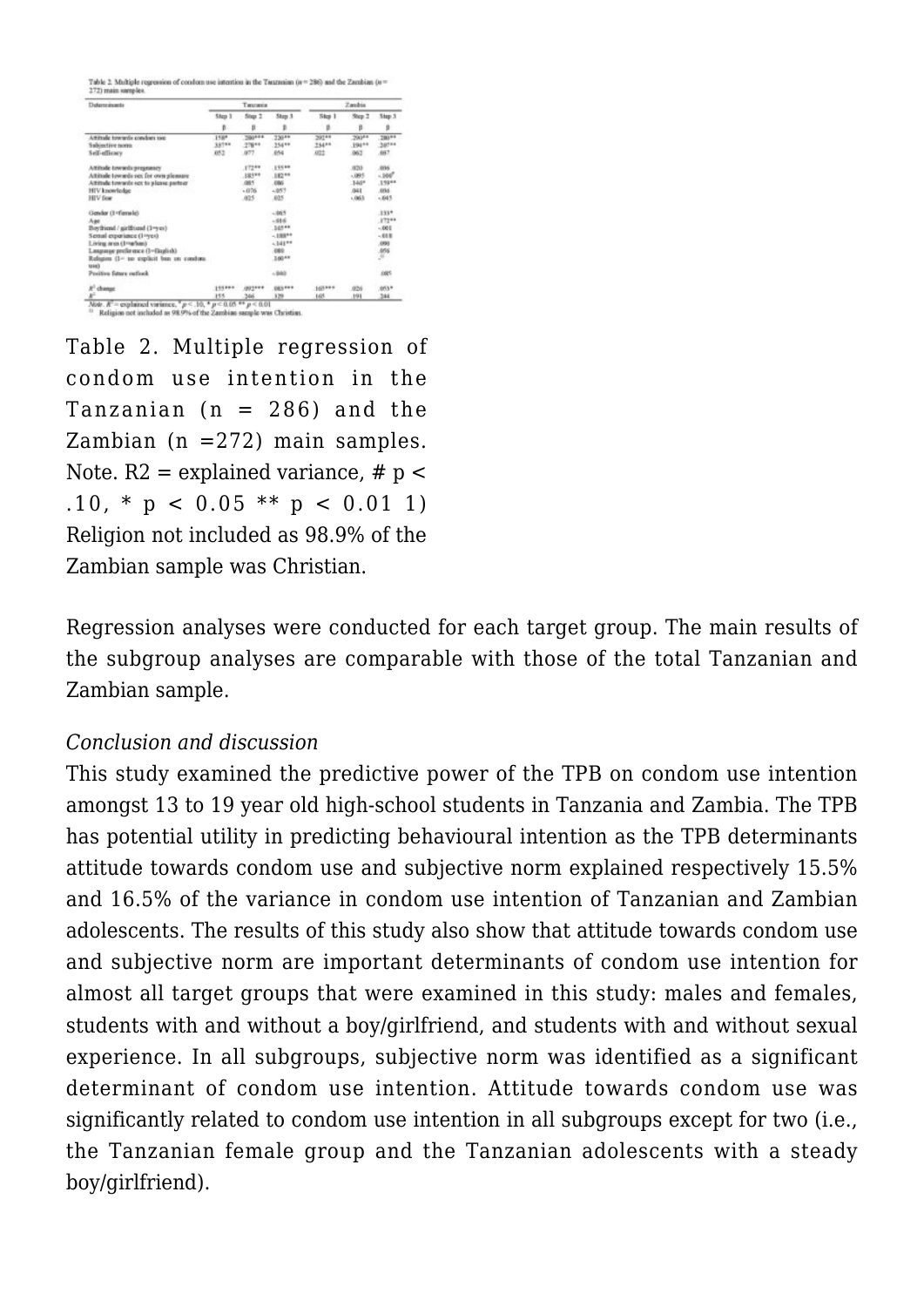able 2. Multiple regression of condom use intention in the Taru

| Determinants                                     | Testanta |             |                |             | Zambia      |                     |  |  |
|--------------------------------------------------|----------|-------------|----------------|-------------|-------------|---------------------|--|--|
|                                                  | Slipp 1  | Stop 1<br>B | Stew 3<br>B    | Step 1<br>B | Step 2<br>B | Step 3              |  |  |
|                                                  | 影.       |             |                |             |             |                     |  |  |
| Attitude towards condom use                      | 158*     | .280***     | 730**          | 20748       | 290**       | .280 PF             |  |  |
| Subjective norm                                  | 337**    | $,778**$    | 354 **         | 234**       | 19411       | 307 **              |  |  |
| Self-efficacy                                    | 052      | 077         | 854            | <b>AT2</b>  | 062         | ,007                |  |  |
| Aftitude towards pregnancy                       |          | 17244       | 19540          |             | 320         | .036                |  |  |
| Attitude towards sex for own pleasure            |          | $.185**$    | .182 **        |             | $-095$      | $-100$ <sup>2</sup> |  |  |
| Attitude towards sex to please partner           |          | .085        | .006           |             | $.146*$     | $.159**$            |  |  |
| HIV knowledge                                    |          | $-076$      | $-1057$        |             | <b>G41</b>  | .666                |  |  |
| <b>HIV</b> fine                                  |          | $-025$      | .025           |             | $-061$      | $-545$              |  |  |
| Gender (1-Fernule)                               |          |             | $-065$         |             |             | $.135*$             |  |  |
| Aue                                              |          |             | $-016$         |             |             | .172**              |  |  |
| Boyfricad / girlfriend (1-yes)                   |          |             | .145 **        |             |             | $-001$              |  |  |
| Sextual exportance (1-yes)                       |          |             | $-1881+$       |             |             | $-018$              |  |  |
| Living area (1-vehan)                            |          |             | $-141**$       |             |             | .000                |  |  |
| Lauguage preference (1-finglish)                 |          |             | 080            |             |             | $\frac{105}{10}$    |  |  |
| Religion (1- to explicit ban on condom.<br>sears |          |             | 160**          |             |             |                     |  |  |
| Positive fators outlook                          |          |             | $-560$         |             |             | <b>JSES</b>         |  |  |
| $R^2$ change                                     | 195899   | (892444)    | <b>ERS</b> FEE | 165***      | 826         | 053*                |  |  |
| ¥                                                | 155      | 546         | 329            | 165         | 191         | 344                 |  |  |

Table 2. Multiple regression of condom use intention in the Tanzanian  $(n = 286)$  and the Zambian ( $n = 272$ ) main samples. Note.  $R2$  = explained variance, #  $p$  < .10, \* p < 0.05 \*\* p < 0.01 1) Religion not included as 98.9% of the Zambian sample was Christian.

Regression analyses were conducted for each target group. The main results of the subgroup analyses are comparable with those of the total Tanzanian and Zambian sample.

## *Conclusion and discussion*

This study examined the predictive power of the TPB on condom use intention amongst 13 to 19 year old high-school students in Tanzania and Zambia. The TPB has potential utility in predicting behavioural intention as the TPB determinants attitude towards condom use and subjective norm explained respectively 15.5% and 16.5% of the variance in condom use intention of Tanzanian and Zambian adolescents. The results of this study also show that attitude towards condom use and subjective norm are important determinants of condom use intention for almost all target groups that were examined in this study: males and females, students with and without a boy/girlfriend, and students with and without sexual experience. In all subgroups, subjective norm was identified as a significant determinant of condom use intention. Attitude towards condom use was significantly related to condom use intention in all subgroups except for two (i.e., the Tanzanian female group and the Tanzanian adolescents with a steady boy/girlfriend).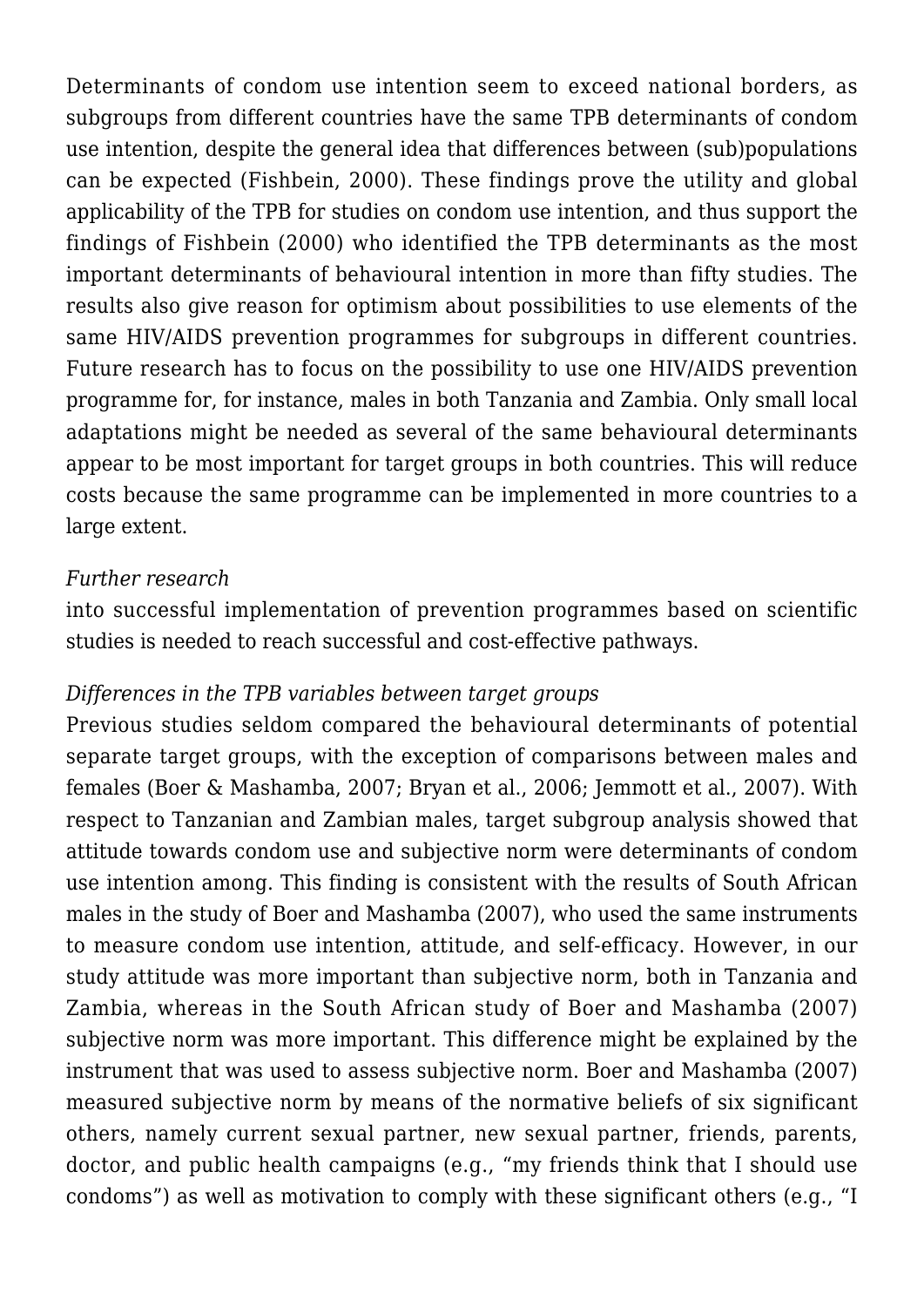Determinants of condom use intention seem to exceed national borders, as subgroups from different countries have the same TPB determinants of condom use intention, despite the general idea that differences between (sub)populations can be expected (Fishbein, 2000). These findings prove the utility and global applicability of the TPB for studies on condom use intention, and thus support the findings of Fishbein (2000) who identified the TPB determinants as the most important determinants of behavioural intention in more than fifty studies. The results also give reason for optimism about possibilities to use elements of the same HIV/AIDS prevention programmes for subgroups in different countries. Future research has to focus on the possibility to use one HIV/AIDS prevention programme for, for instance, males in both Tanzania and Zambia. Only small local adaptations might be needed as several of the same behavioural determinants appear to be most important for target groups in both countries. This will reduce costs because the same programme can be implemented in more countries to a large extent.

## *Further research*

into successful implementation of prevention programmes based on scientific studies is needed to reach successful and cost-effective pathways.

### *Differences in the TPB variables between target groups*

Previous studies seldom compared the behavioural determinants of potential separate target groups, with the exception of comparisons between males and females (Boer & Mashamba, 2007; Bryan et al., 2006; Jemmott et al., 2007). With respect to Tanzanian and Zambian males, target subgroup analysis showed that attitude towards condom use and subjective norm were determinants of condom use intention among. This finding is consistent with the results of South African males in the study of Boer and Mashamba (2007), who used the same instruments to measure condom use intention, attitude, and self-efficacy. However, in our study attitude was more important than subjective norm, both in Tanzania and Zambia, whereas in the South African study of Boer and Mashamba (2007) subjective norm was more important. This difference might be explained by the instrument that was used to assess subjective norm. Boer and Mashamba (2007) measured subjective norm by means of the normative beliefs of six significant others, namely current sexual partner, new sexual partner, friends, parents, doctor, and public health campaigns (e.g., "my friends think that I should use condoms") as well as motivation to comply with these significant others (e.g., "I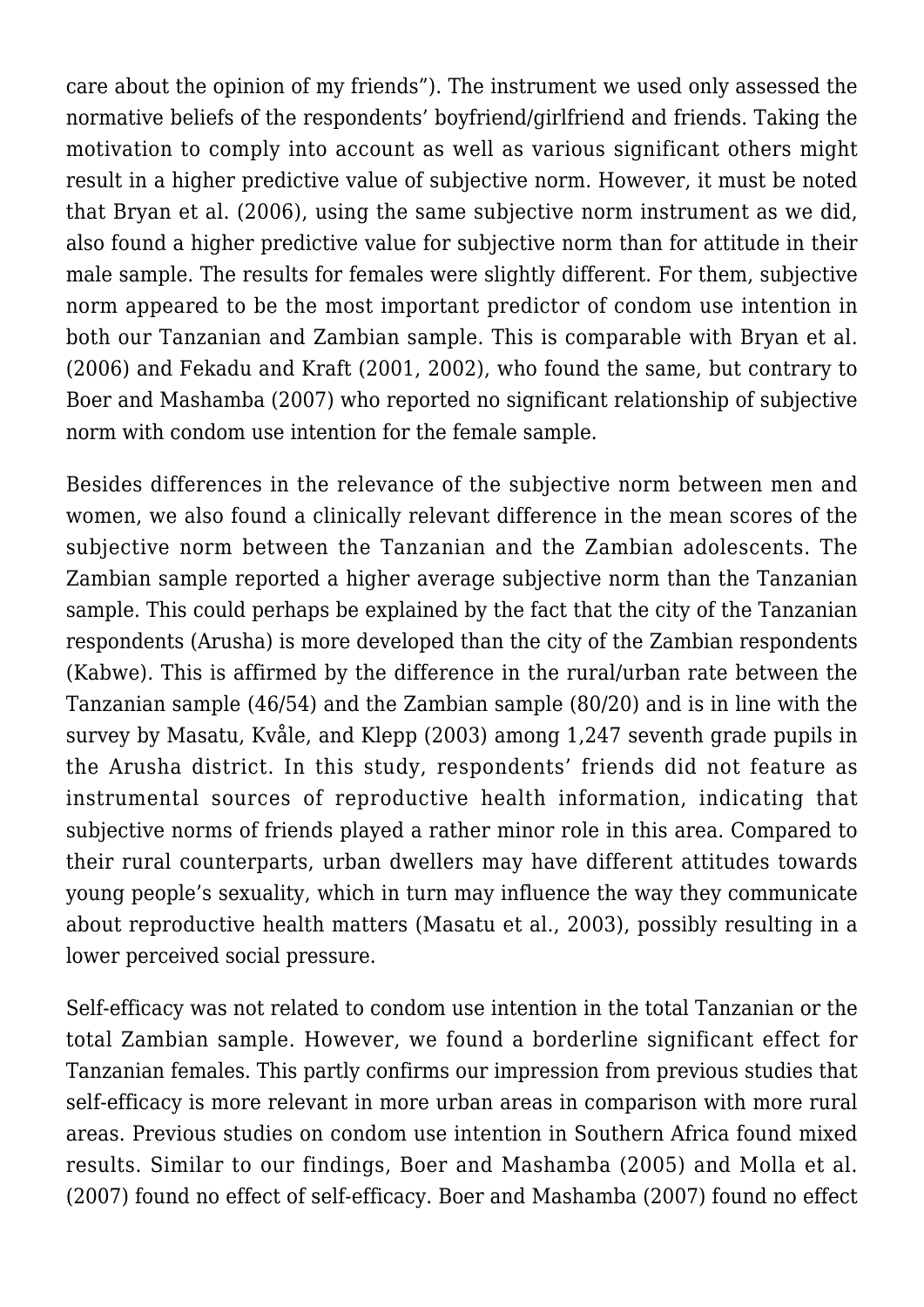care about the opinion of my friends"). The instrument we used only assessed the normative beliefs of the respondents' boyfriend/girlfriend and friends. Taking the motivation to comply into account as well as various significant others might result in a higher predictive value of subjective norm. However, it must be noted that Bryan et al. (2006), using the same subjective norm instrument as we did, also found a higher predictive value for subjective norm than for attitude in their male sample. The results for females were slightly different. For them, subjective norm appeared to be the most important predictor of condom use intention in both our Tanzanian and Zambian sample. This is comparable with Bryan et al. (2006) and Fekadu and Kraft (2001, 2002), who found the same, but contrary to Boer and Mashamba (2007) who reported no significant relationship of subjective norm with condom use intention for the female sample.

Besides differences in the relevance of the subjective norm between men and women, we also found a clinically relevant difference in the mean scores of the subjective norm between the Tanzanian and the Zambian adolescents. The Zambian sample reported a higher average subjective norm than the Tanzanian sample. This could perhaps be explained by the fact that the city of the Tanzanian respondents (Arusha) is more developed than the city of the Zambian respondents (Kabwe). This is affirmed by the difference in the rural/urban rate between the Tanzanian sample (46/54) and the Zambian sample (80/20) and is in line with the survey by Masatu, Kvåle, and Klepp (2003) among 1,247 seventh grade pupils in the Arusha district. In this study, respondents' friends did not feature as instrumental sources of reproductive health information, indicating that subjective norms of friends played a rather minor role in this area. Compared to their rural counterparts, urban dwellers may have different attitudes towards young people's sexuality, which in turn may influence the way they communicate about reproductive health matters (Masatu et al., 2003), possibly resulting in a lower perceived social pressure.

Self-efficacy was not related to condom use intention in the total Tanzanian or the total Zambian sample. However, we found a borderline significant effect for Tanzanian females. This partly confirms our impression from previous studies that self-efficacy is more relevant in more urban areas in comparison with more rural areas. Previous studies on condom use intention in Southern Africa found mixed results. Similar to our findings, Boer and Mashamba (2005) and Molla et al. (2007) found no effect of self-efficacy. Boer and Mashamba (2007) found no effect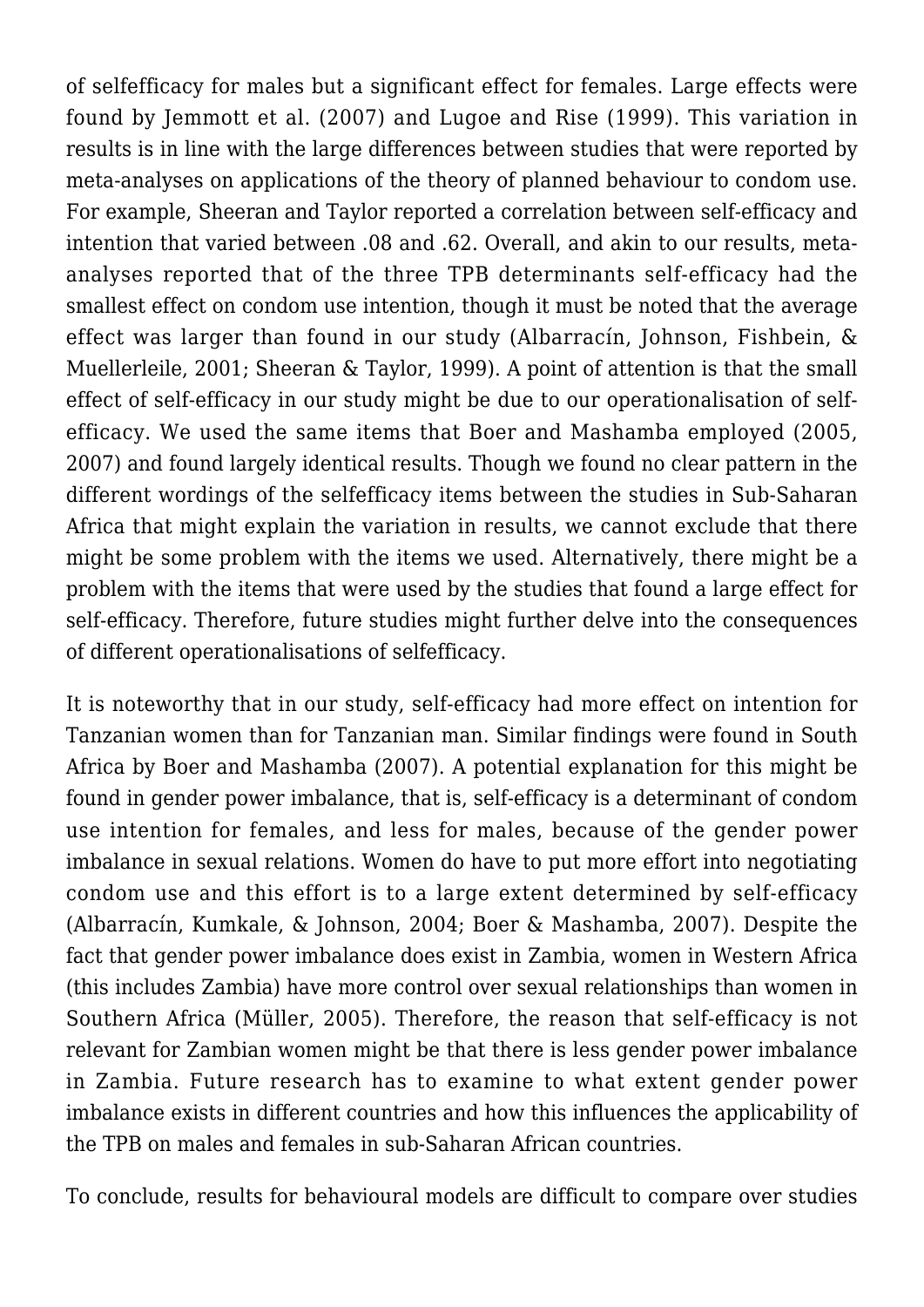of selfefficacy for males but a significant effect for females. Large effects were found by Jemmott et al. (2007) and Lugoe and Rise (1999). This variation in results is in line with the large differences between studies that were reported by meta-analyses on applications of the theory of planned behaviour to condom use. For example, Sheeran and Taylor reported a correlation between self-efficacy and intention that varied between .08 and .62. Overall, and akin to our results, metaanalyses reported that of the three TPB determinants self-efficacy had the smallest effect on condom use intention, though it must be noted that the average effect was larger than found in our study (Albarracín, Johnson, Fishbein, & Muellerleile, 2001; Sheeran & Taylor, 1999). A point of attention is that the small effect of self-efficacy in our study might be due to our operationalisation of selfefficacy. We used the same items that Boer and Mashamba employed (2005, 2007) and found largely identical results. Though we found no clear pattern in the different wordings of the selfefficacy items between the studies in Sub-Saharan Africa that might explain the variation in results, we cannot exclude that there might be some problem with the items we used. Alternatively, there might be a problem with the items that were used by the studies that found a large effect for self-efficacy. Therefore, future studies might further delve into the consequences of different operationalisations of selfefficacy.

It is noteworthy that in our study, self-efficacy had more effect on intention for Tanzanian women than for Tanzanian man. Similar findings were found in South Africa by Boer and Mashamba (2007). A potential explanation for this might be found in gender power imbalance, that is, self-efficacy is a determinant of condom use intention for females, and less for males, because of the gender power imbalance in sexual relations. Women do have to put more effort into negotiating condom use and this effort is to a large extent determined by self-efficacy (Albarracín, Kumkale, & Johnson, 2004; Boer & Mashamba, 2007). Despite the fact that gender power imbalance does exist in Zambia, women in Western Africa (this includes Zambia) have more control over sexual relationships than women in Southern Africa (Müller, 2005). Therefore, the reason that self-efficacy is not relevant for Zambian women might be that there is less gender power imbalance in Zambia. Future research has to examine to what extent gender power imbalance exists in different countries and how this influences the applicability of the TPB on males and females in sub-Saharan African countries.

To conclude, results for behavioural models are difficult to compare over studies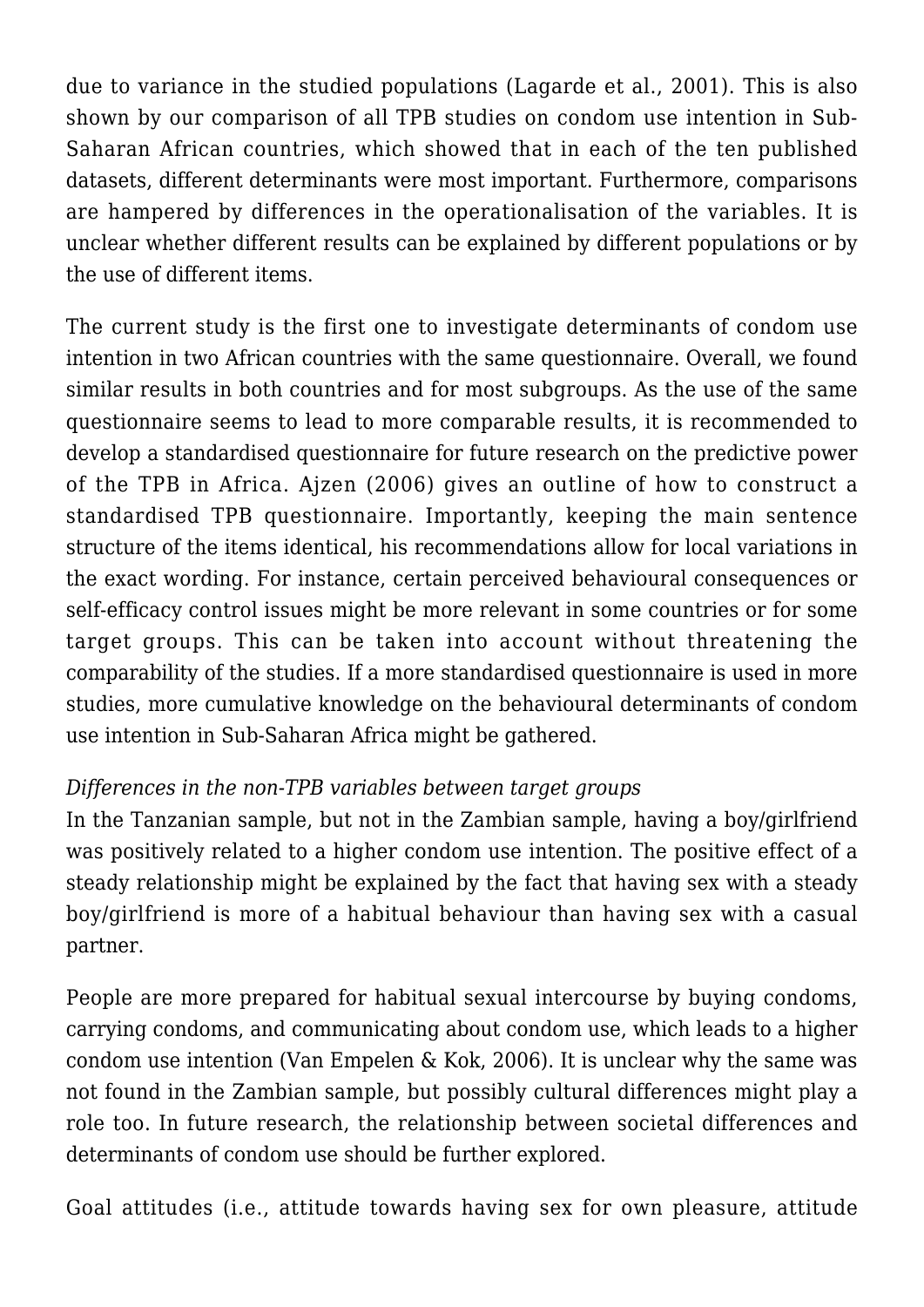due to variance in the studied populations (Lagarde et al., 2001). This is also shown by our comparison of all TPB studies on condom use intention in Sub-Saharan African countries, which showed that in each of the ten published datasets, different determinants were most important. Furthermore, comparisons are hampered by differences in the operationalisation of the variables. It is unclear whether different results can be explained by different populations or by the use of different items.

The current study is the first one to investigate determinants of condom use intention in two African countries with the same questionnaire. Overall, we found similar results in both countries and for most subgroups. As the use of the same questionnaire seems to lead to more comparable results, it is recommended to develop a standardised questionnaire for future research on the predictive power of the TPB in Africa. Ajzen (2006) gives an outline of how to construct a standardised TPB questionnaire. Importantly, keeping the main sentence structure of the items identical, his recommendations allow for local variations in the exact wording. For instance, certain perceived behavioural consequences or self-efficacy control issues might be more relevant in some countries or for some target groups. This can be taken into account without threatening the comparability of the studies. If a more standardised questionnaire is used in more studies, more cumulative knowledge on the behavioural determinants of condom use intention in Sub-Saharan Africa might be gathered.

## *Differences in the non-TPB variables between target groups*

In the Tanzanian sample, but not in the Zambian sample, having a boy/girlfriend was positively related to a higher condom use intention. The positive effect of a steady relationship might be explained by the fact that having sex with a steady boy/girlfriend is more of a habitual behaviour than having sex with a casual partner.

People are more prepared for habitual sexual intercourse by buying condoms, carrying condoms, and communicating about condom use, which leads to a higher condom use intention (Van Empelen & Kok, 2006). It is unclear why the same was not found in the Zambian sample, but possibly cultural differences might play a role too. In future research, the relationship between societal differences and determinants of condom use should be further explored.

Goal attitudes (i.e., attitude towards having sex for own pleasure, attitude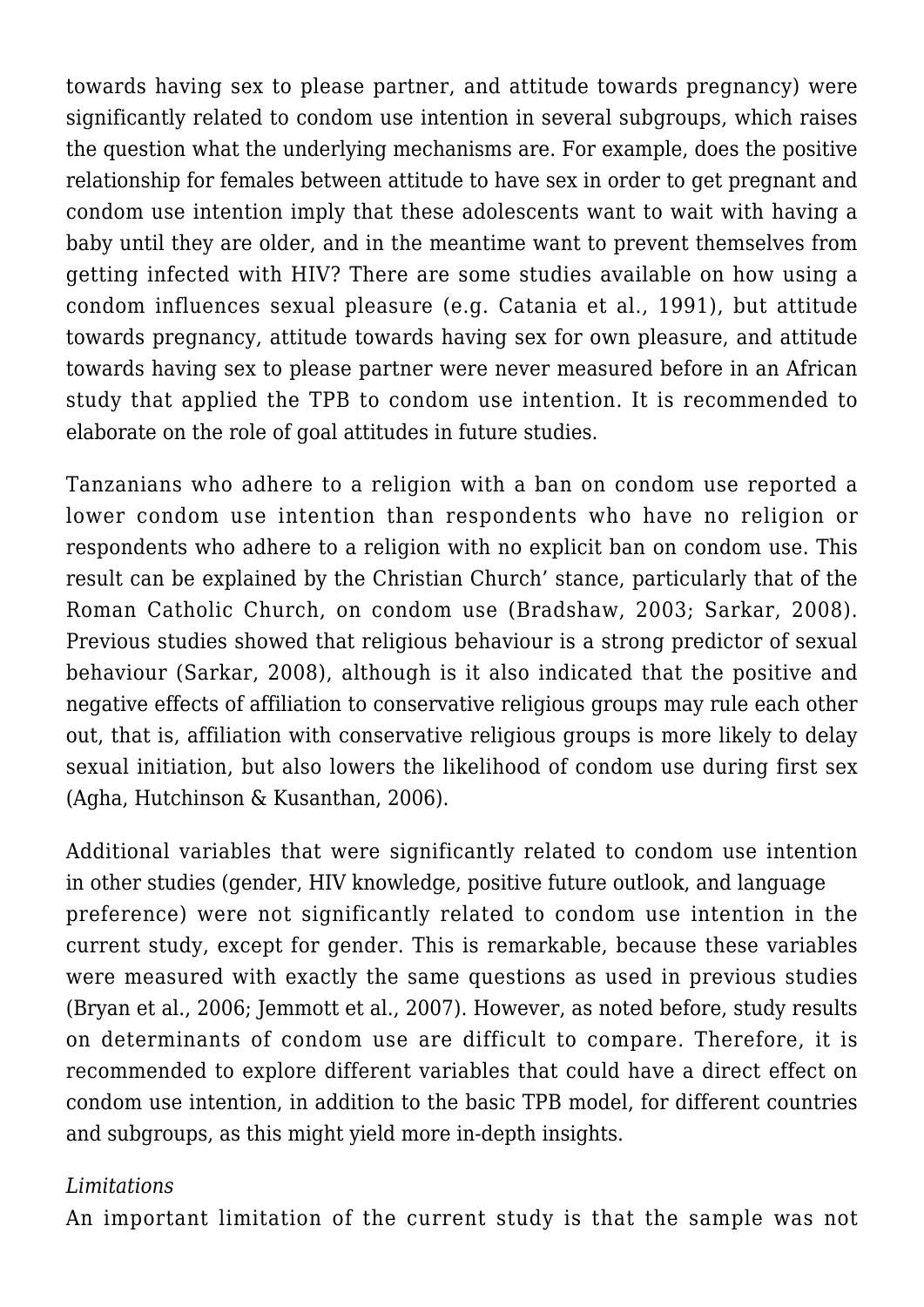towards having sex to please partner, and attitude towards pregnancy) were significantly related to condom use intention in several subgroups, which raises the question what the underlying mechanisms are. For example, does the positive relationship for females between attitude to have sex in order to get pregnant and condom use intention imply that these adolescents want to wait with having a baby until they are older, and in the meantime want to prevent themselves from getting infected with HIV? There are some studies available on how using a condom influences sexual pleasure (e.g. Catania et al., 1991), but attitude towards pregnancy, attitude towards having sex for own pleasure, and attitude towards having sex to please partner were never measured before in an African study that applied the TPB to condom use intention. It is recommended to elaborate on the role of goal attitudes in future studies.

Tanzanians who adhere to a religion with a ban on condom use reported a lower condom use intention than respondents who have no religion or respondents who adhere to a religion with no explicit ban on condom use. This result can be explained by the Christian Church' stance, particularly that of the Roman Catholic Church, on condom use (Bradshaw, 2003; Sarkar, 2008). Previous studies showed that religious behaviour is a strong predictor of sexual behaviour (Sarkar, 2008), although is it also indicated that the positive and negative effects of affiliation to conservative religious groups may rule each other out, that is, affiliation with conservative religious groups is more likely to delay sexual initiation, but also lowers the likelihood of condom use during first sex (Agha, Hutchinson & Kusanthan, 2006).

Additional variables that were significantly related to condom use intention in other studies (gender, HIV knowledge, positive future outlook, and language preference) were not significantly related to condom use intention in the current study, except for gender. This is remarkable, because these variables were measured with exactly the same questions as used in previous studies (Bryan et al., 2006; Jemmott et al., 2007). However, as noted before, study results on determinants of condom use are difficult to compare. Therefore, it is recommended to explore different variables that could have a direct effect on condom use intention, in addition to the basic TPB model, for different countries and subgroups, as this might yield more in-depth insights.

# *Limitations*

An important limitation of the current study is that the sample was not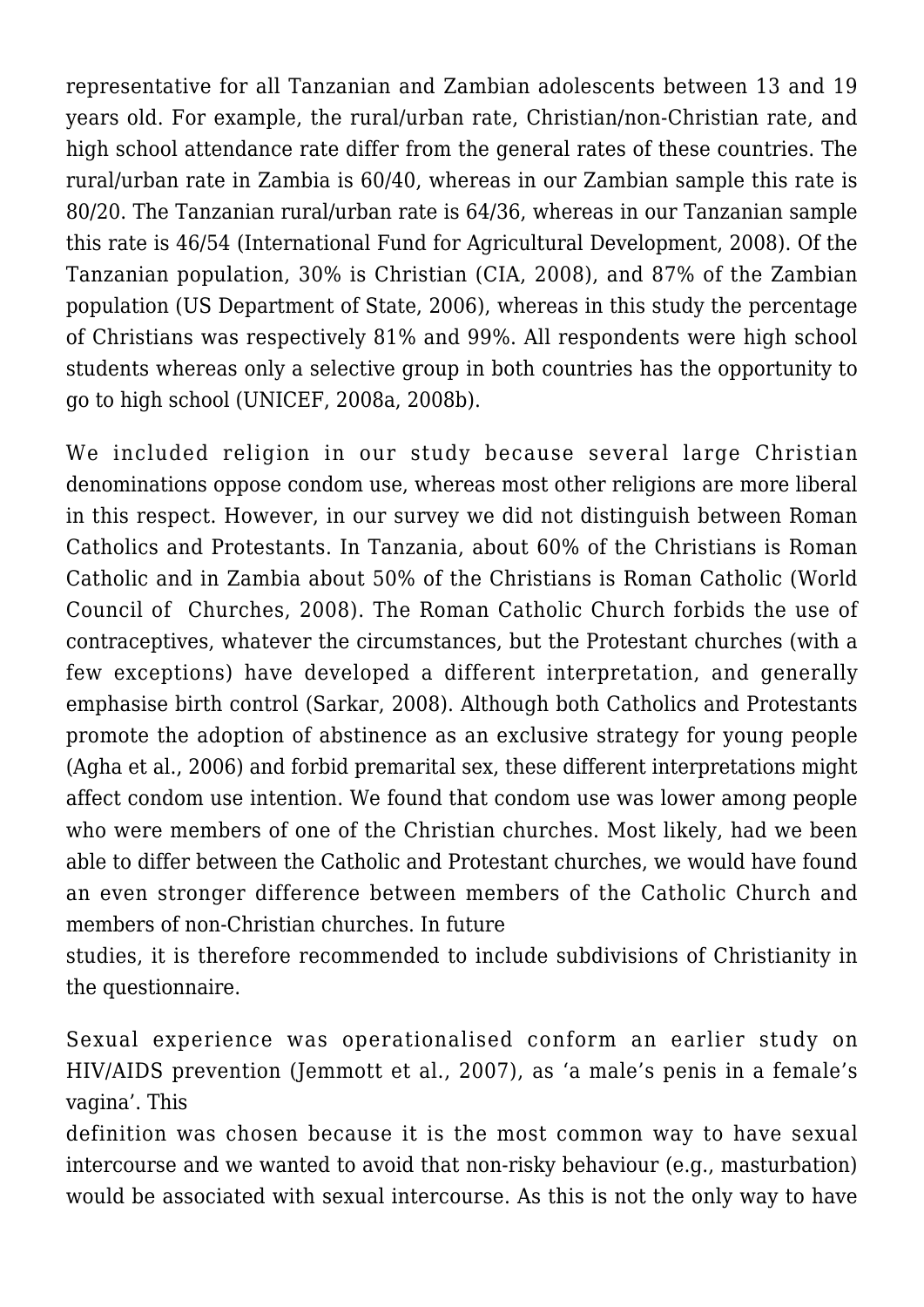representative for all Tanzanian and Zambian adolescents between 13 and 19 years old. For example, the rural/urban rate, Christian/non-Christian rate, and high school attendance rate differ from the general rates of these countries. The rural/urban rate in Zambia is 60/40, whereas in our Zambian sample this rate is 80/20. The Tanzanian rural/urban rate is 64/36, whereas in our Tanzanian sample this rate is 46/54 (International Fund for Agricultural Development, 2008). Of the Tanzanian population, 30% is Christian (CIA, 2008), and 87% of the Zambian population (US Department of State, 2006), whereas in this study the percentage of Christians was respectively 81% and 99%. All respondents were high school students whereas only a selective group in both countries has the opportunity to go to high school (UNICEF, 2008a, 2008b).

We included religion in our study because several large Christian denominations oppose condom use, whereas most other religions are more liberal in this respect. However, in our survey we did not distinguish between Roman Catholics and Protestants. In Tanzania, about 60% of the Christians is Roman Catholic and in Zambia about 50% of the Christians is Roman Catholic (World Council of Churches, 2008). The Roman Catholic Church forbids the use of contraceptives, whatever the circumstances, but the Protestant churches (with a few exceptions) have developed a different interpretation, and generally emphasise birth control (Sarkar, 2008). Although both Catholics and Protestants promote the adoption of abstinence as an exclusive strategy for young people (Agha et al., 2006) and forbid premarital sex, these different interpretations might affect condom use intention. We found that condom use was lower among people who were members of one of the Christian churches. Most likely, had we been able to differ between the Catholic and Protestant churches, we would have found an even stronger difference between members of the Catholic Church and members of non-Christian churches. In future

studies, it is therefore recommended to include subdivisions of Christianity in the questionnaire.

Sexual experience was operationalised conform an earlier study on HIV/AIDS prevention (Jemmott et al., 2007), as 'a male's penis in a female's vagina'. This

definition was chosen because it is the most common way to have sexual intercourse and we wanted to avoid that non-risky behaviour (e.g., masturbation) would be associated with sexual intercourse. As this is not the only way to have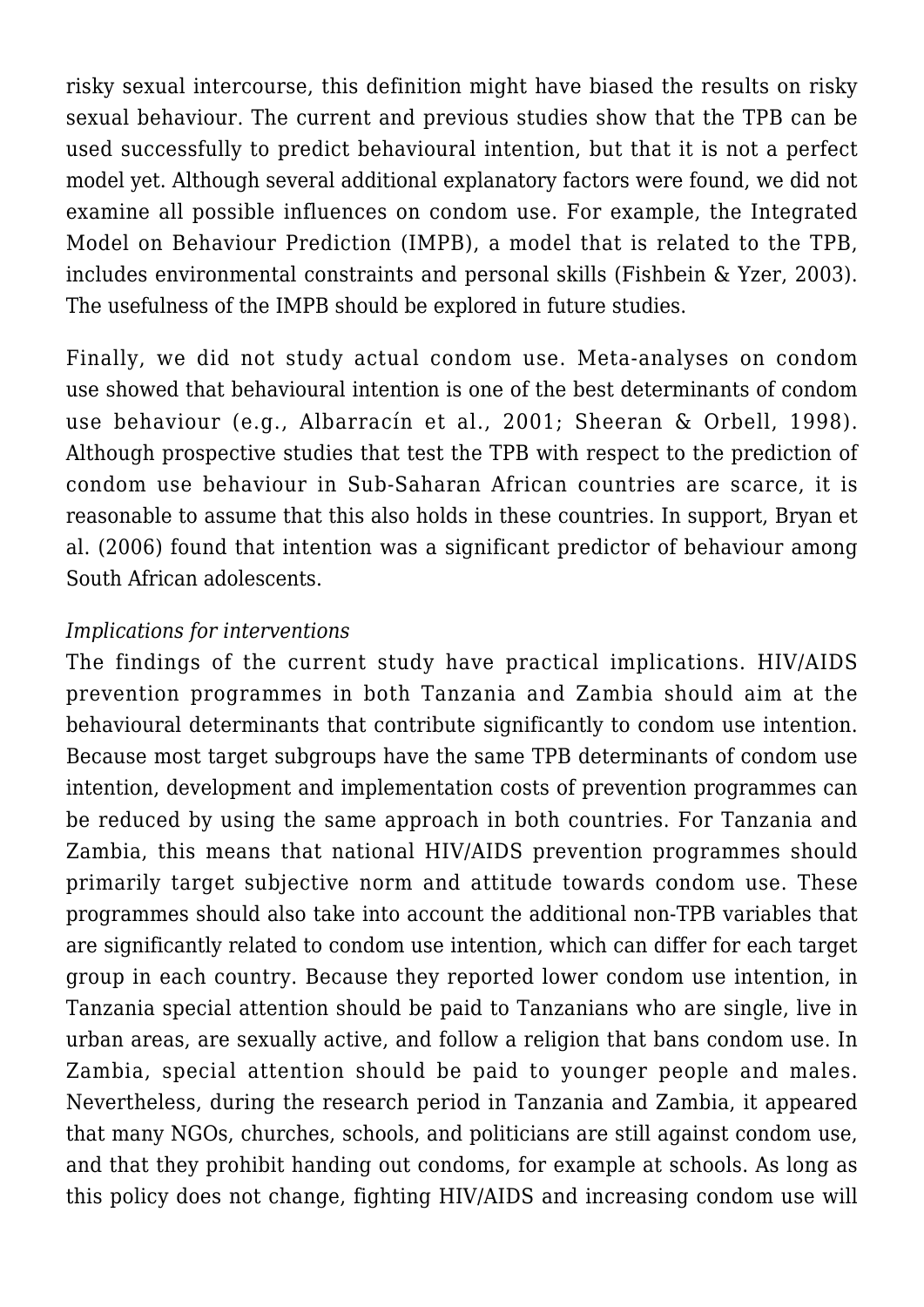risky sexual intercourse, this definition might have biased the results on risky sexual behaviour. The current and previous studies show that the TPB can be used successfully to predict behavioural intention, but that it is not a perfect model yet. Although several additional explanatory factors were found, we did not examine all possible influences on condom use. For example, the Integrated Model on Behaviour Prediction (IMPB), a model that is related to the TPB, includes environmental constraints and personal skills (Fishbein & Yzer, 2003). The usefulness of the IMPB should be explored in future studies.

Finally, we did not study actual condom use. Meta-analyses on condom use showed that behavioural intention is one of the best determinants of condom use behaviour (e.g., Albarracín et al., 2001; Sheeran & Orbell, 1998). Although prospective studies that test the TPB with respect to the prediction of condom use behaviour in Sub-Saharan African countries are scarce, it is reasonable to assume that this also holds in these countries. In support, Bryan et al. (2006) found that intention was a significant predictor of behaviour among South African adolescents.

## *Implications for interventions*

The findings of the current study have practical implications. HIV/AIDS prevention programmes in both Tanzania and Zambia should aim at the behavioural determinants that contribute significantly to condom use intention. Because most target subgroups have the same TPB determinants of condom use intention, development and implementation costs of prevention programmes can be reduced by using the same approach in both countries. For Tanzania and Zambia, this means that national HIV/AIDS prevention programmes should primarily target subjective norm and attitude towards condom use. These programmes should also take into account the additional non-TPB variables that are significantly related to condom use intention, which can differ for each target group in each country. Because they reported lower condom use intention, in Tanzania special attention should be paid to Tanzanians who are single, live in urban areas, are sexually active, and follow a religion that bans condom use. In Zambia, special attention should be paid to younger people and males. Nevertheless, during the research period in Tanzania and Zambia, it appeared that many NGOs, churches, schools, and politicians are still against condom use, and that they prohibit handing out condoms, for example at schools. As long as this policy does not change, fighting HIV/AIDS and increasing condom use will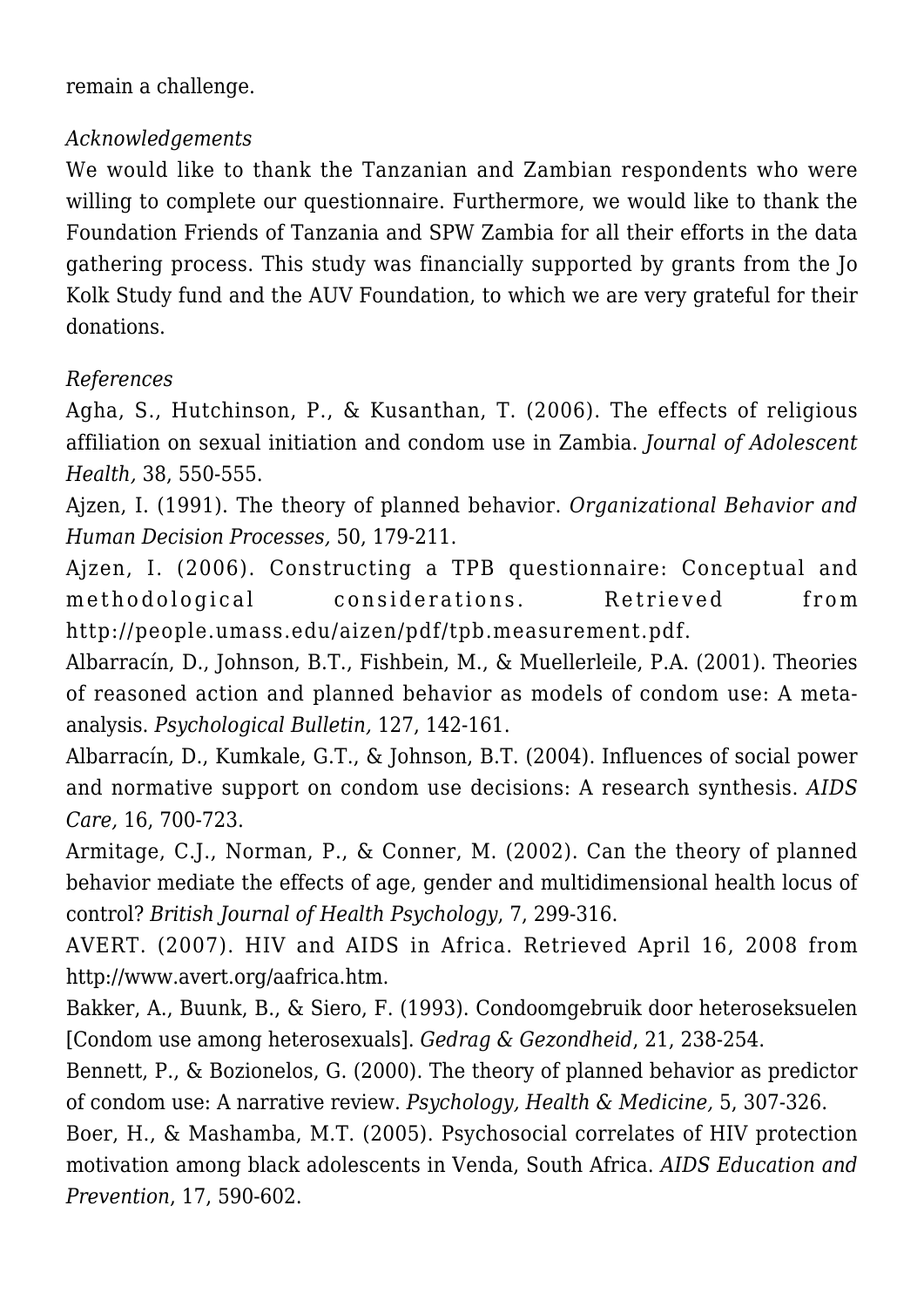remain a challenge.

# *Acknowledgements*

We would like to thank the Tanzanian and Zambian respondents who were willing to complete our questionnaire. Furthermore, we would like to thank the Foundation Friends of Tanzania and SPW Zambia for all their efforts in the data gathering process. This study was financially supported by grants from the Jo Kolk Study fund and the AUV Foundation, to which we are very grateful for their donations.

# *References*

Agha, S., Hutchinson, P., & Kusanthan, T. (2006). The effects of religious affiliation on sexual initiation and condom use in Zambia. *Journal of Adolescent Health,* 38, 550-555.

Ajzen, I. (1991). The theory of planned behavior. *Organizational Behavior and Human Decision Processes,* 50, 179-211.

Ajzen, I. (2006). Constructing a TPB questionnaire: Conceptual and methodological considerations. Retrieved from http://people.umass.edu/aizen/pdf/tpb.measurement.pdf.

Albarracín, D., Johnson, B.T., Fishbein, M., & Muellerleile, P.A. (2001). Theories of reasoned action and planned behavior as models of condom use: A metaanalysis. *Psychological Bulletin,* 127, 142-161.

Albarracín, D., Kumkale, G.T., & Johnson, B.T. (2004). Influences of social power and normative support on condom use decisions: A research synthesis. *AIDS Care,* 16, 700-723.

Armitage, C.J., Norman, P., & Conner, M. (2002). Can the theory of planned behavior mediate the effects of age, gender and multidimensional health locus of control? *British Journal of Health Psychology*, 7, 299-316.

AVERT. (2007). HIV and AIDS in Africa. Retrieved April 16, 2008 from http://www.avert.org/aafrica.htm.

Bakker, A., Buunk, B., & Siero, F. (1993). Condoomgebruik door heteroseksuelen [Condom use among heterosexuals]. *Gedrag & Gezondheid*, 21, 238-254.

Bennett, P., & Bozionelos, G. (2000). The theory of planned behavior as predictor of condom use: A narrative review. *Psychology, Health & Medicine,* 5, 307-326.

Boer, H., & Mashamba, M.T. (2005). Psychosocial correlates of HIV protection motivation among black adolescents in Venda, South Africa. *AIDS Education and Prevention*, 17, 590-602.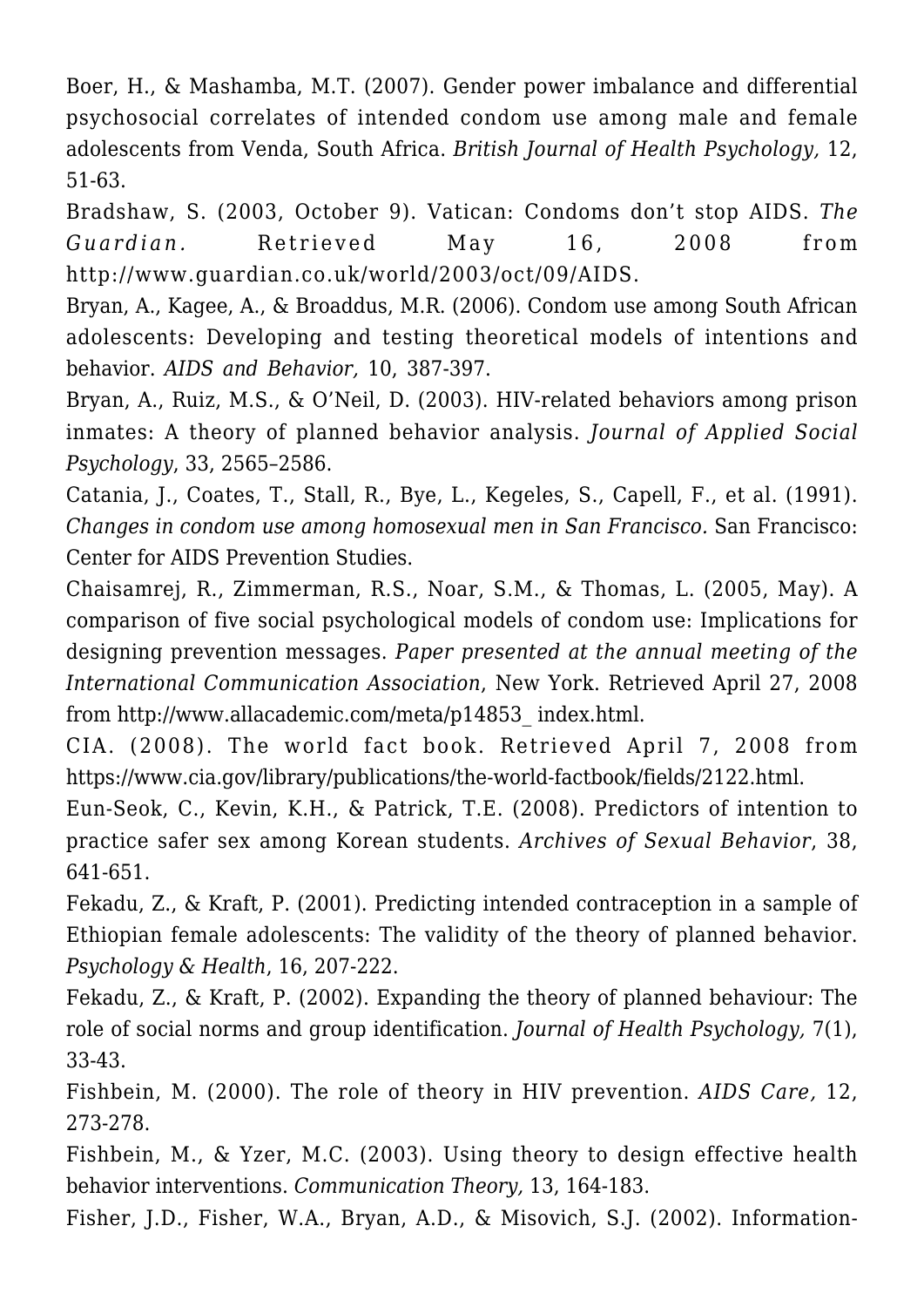Boer, H., & Mashamba, M.T. (2007). Gender power imbalance and differential psychosocial correlates of intended condom use among male and female adolescents from Venda, South Africa. *British Journal of Health Psychology,* 12, 51-63.

Bradshaw, S. (2003, October 9). Vatican: Condoms don't stop AIDS. *The Guardian.* Retrieved May 16, 2008 from http://www.guardian.co.uk/world/2003/oct/09/AIDS.

Bryan, A., Kagee, A., & Broaddus, M.R. (2006). Condom use among South African adolescents: Developing and testing theoretical models of intentions and behavior. *AIDS and Behavior,* 10, 387-397.

Bryan, A., Ruiz, M.S., & O'Neil, D. (2003). HIV-related behaviors among prison inmates: A theory of planned behavior analysis. *Journal of Applied Social Psychology*, 33, 2565–2586.

Catania, J., Coates, T., Stall, R., Bye, L., Kegeles, S., Capell, F., et al. (1991). *Changes in condom use among homosexual men in San Francisco.* San Francisco: Center for AIDS Prevention Studies.

Chaisamrej, R., Zimmerman, R.S., Noar, S.M., & Thomas, L. (2005, May). A comparison of five social psychological models of condom use: Implications for designing prevention messages. *Paper presented at the annual meeting of the International Communication Association*, New York. Retrieved April 27, 2008 from http://www.allacademic.com/meta/p14853\_ index.html.

CIA. (2008). The world fact book. Retrieved April 7, 2008 from https://www.cia.gov/library/publications/the-world-factbook/fields/2122.html.

Eun-Seok, C., Kevin, K.H., & Patrick, T.E. (2008). Predictors of intention to practice safer sex among Korean students. *Archives of Sexual Behavior*, 38, 641-651.

Fekadu, Z., & Kraft, P. (2001). Predicting intended contraception in a sample of Ethiopian female adolescents: The validity of the theory of planned behavior. *Psychology & Health*, 16, 207-222.

Fekadu, Z., & Kraft, P. (2002). Expanding the theory of planned behaviour: The role of social norms and group identification. *Journal of Health Psychology,* 7(1), 33-43.

Fishbein, M. (2000). The role of theory in HIV prevention. *AIDS Care,* 12, 273-278.

Fishbein, M., & Yzer, M.C. (2003). Using theory to design effective health behavior interventions. *Communication Theory,* 13, 164-183.

Fisher, J.D., Fisher, W.A., Bryan, A.D., & Misovich, S.J. (2002). Information-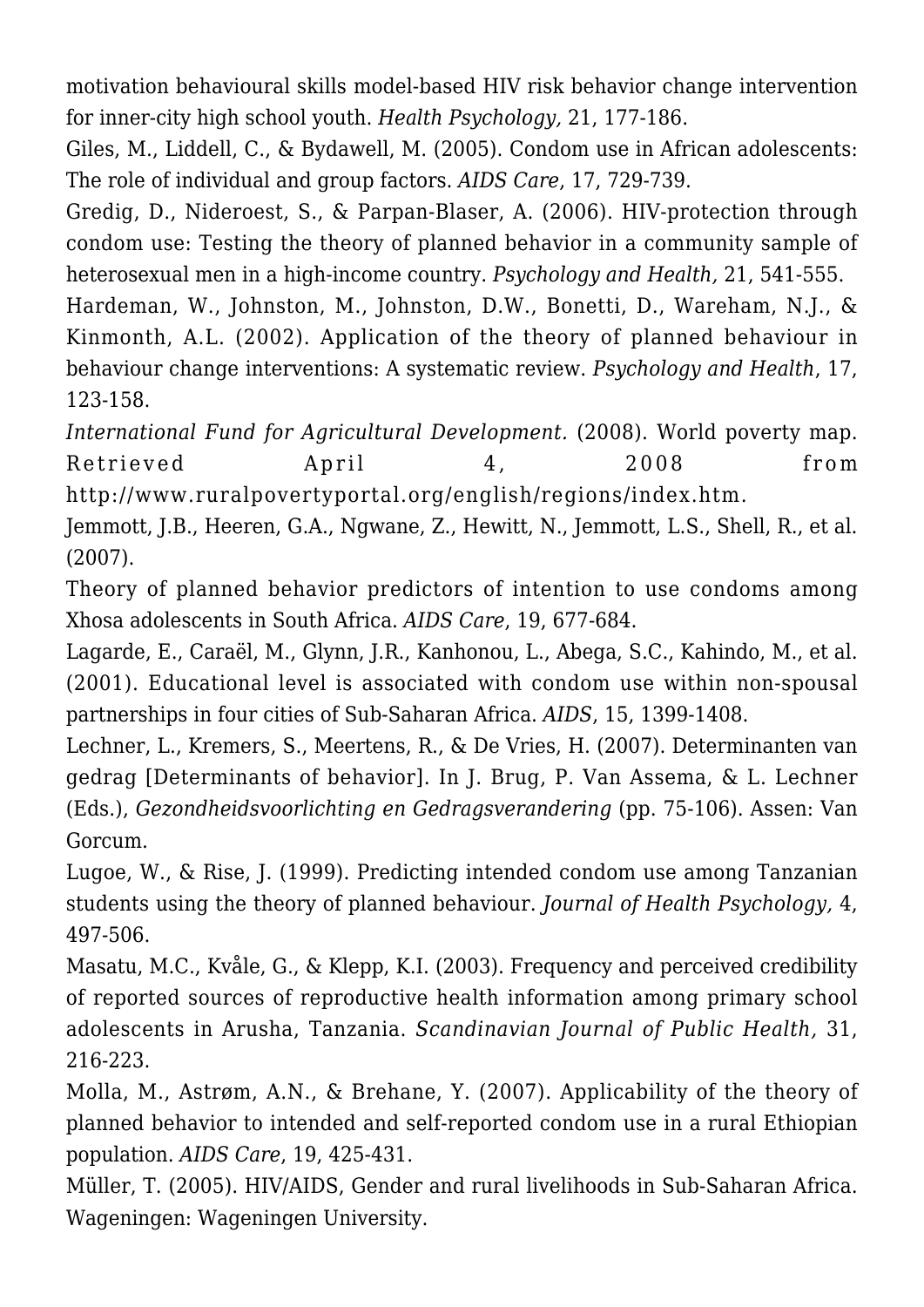motivation behavioural skills model-based HIV risk behavior change intervention for inner-city high school youth. *Health Psychology,* 21, 177-186.

Giles, M., Liddell, C., & Bydawell, M. (2005). Condom use in African adolescents: The role of individual and group factors. *AIDS Care*, 17, 729-739.

Gredig, D., Nideroest, S., & Parpan-Blaser, A. (2006). HIV-protection through condom use: Testing the theory of planned behavior in a community sample of heterosexual men in a high-income country. *Psychology and Health,* 21, 541-555.

Hardeman, W., Johnston, M., Johnston, D.W., Bonetti, D., Wareham, N.J., & Kinmonth, A.L. (2002). Application of the theory of planned behaviour in behaviour change interventions: A systematic review. *Psychology and Health*, 17, 123-158.

*International Fund for Agricultural Development.* (2008). World poverty map. Retrieved April 4, 2008 from http://www.ruralpovertyportal.org/english/regions/index.htm.

Jemmott, J.B., Heeren, G.A., Ngwane, Z., Hewitt, N., Jemmott, L.S., Shell, R., et al. (2007).

Theory of planned behavior predictors of intention to use condoms among Xhosa adolescents in South Africa. *AIDS Care*, 19, 677-684.

Lagarde, E., Caraël, M., Glynn, J.R., Kanhonou, L., Abega, S.C., Kahindo, M., et al. (2001). Educational level is associated with condom use within non-spousal partnerships in four cities of Sub-Saharan Africa. *AIDS*, 15, 1399-1408.

Lechner, L., Kremers, S., Meertens, R., & De Vries, H. (2007). Determinanten van gedrag [Determinants of behavior]. In J. Brug, P. Van Assema, & L. Lechner (Eds.), *Gezondheidsvoorlichting en Gedragsverandering* (pp. 75-106). Assen: Van Gorcum.

Lugoe, W., & Rise, J. (1999). Predicting intended condom use among Tanzanian students using the theory of planned behaviour. *Journal of Health Psychology,* 4, 497-506.

Masatu, M.C., Kvåle, G., & Klepp, K.I. (2003). Frequency and perceived credibility of reported sources of reproductive health information among primary school adolescents in Arusha, Tanzania. *Scandinavian Journal of Public Health,* 31, 216-223.

Molla, M., Astrøm, A.N., & Brehane, Y. (2007). Applicability of the theory of planned behavior to intended and self-reported condom use in a rural Ethiopian population. *AIDS Care*, 19, 425-431.

Müller, T. (2005). HIV/AIDS, Gender and rural livelihoods in Sub-Saharan Africa. Wageningen: Wageningen University.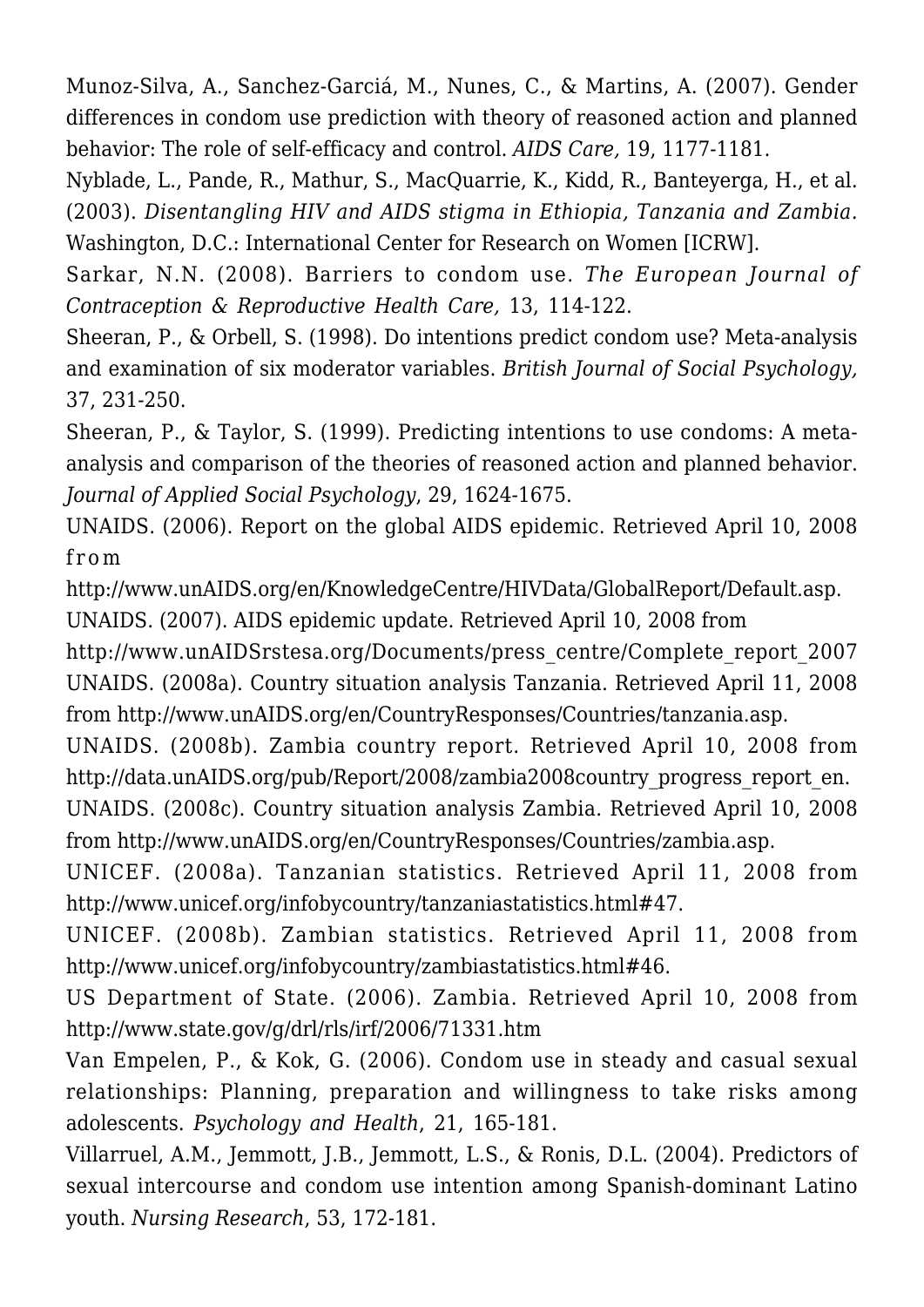Munoz-Silva, A., Sanchez-Garciá, M., Nunes, C., & Martins, A. (2007). Gender differences in condom use prediction with theory of reasoned action and planned behavior: The role of self-efficacy and control. *AIDS Care,* 19, 1177-1181.

Nyblade, L., Pande, R., Mathur, S., MacQuarrie, K., Kidd, R., Banteyerga, H., et al. (2003). *Disentangling HIV and AIDS stigma in Ethiopia, Tanzania and Zambia.* Washington, D.C.: International Center for Research on Women [ICRW].

Sarkar, N.N. (2008). Barriers to condom use. *The European Journal of Contraception & Reproductive Health Care,* 13, 114-122.

Sheeran, P., & Orbell, S. (1998). Do intentions predict condom use? Meta-analysis and examination of six moderator variables. *British Journal of Social Psychology,* 37, 231-250.

Sheeran, P., & Taylor, S. (1999). Predicting intentions to use condoms: A metaanalysis and comparison of the theories of reasoned action and planned behavior. *Journal of Applied Social Psychology*, 29, 1624-1675.

UNAIDS. (2006). Report on the global AIDS epidemic. Retrieved April 10, 2008 from

http://www.unAIDS.org/en/KnowledgeCentre/HIVData/GlobalReport/Default.asp. UNAIDS. (2007). AIDS epidemic update. Retrieved April 10, 2008 from

http://www.unAIDSrstesa.org/Documents/press\_centre/Complete\_report\_2007 UNAIDS. (2008a). Country situation analysis Tanzania. Retrieved April 11, 2008 from http://www.unAIDS.org/en/CountryResponses/Countries/tanzania.asp.

UNAIDS. (2008b). Zambia country report. Retrieved April 10, 2008 from http://data.unAIDS.org/pub/Report/2008/zambia2008country\_progress\_report\_en.

UNAIDS. (2008c). Country situation analysis Zambia. Retrieved April 10, 2008 from http://www.unAIDS.org/en/CountryResponses/Countries/zambia.asp.

UNICEF. (2008a). Tanzanian statistics. Retrieved April 11, 2008 from http://www.unicef.org/infobycountry/tanzaniastatistics.html#47.

UNICEF. (2008b). Zambian statistics. Retrieved April 11, 2008 from http://www.unicef.org/infobycountry/zambiastatistics.html#46.

US Department of State. (2006). Zambia. Retrieved April 10, 2008 from http://www.state.gov/g/drl/rls/irf/2006/71331.htm

Van Empelen, P., & Kok, G. (2006). Condom use in steady and casual sexual relationships: Planning, preparation and willingness to take risks among adolescents. *Psychology and Health*, 21, 165-181.

Villarruel, A.M., Jemmott, J.B., Jemmott, L.S., & Ronis, D.L. (2004). Predictors of sexual intercourse and condom use intention among Spanish-dominant Latino youth. *Nursing Research*, 53, 172-181.